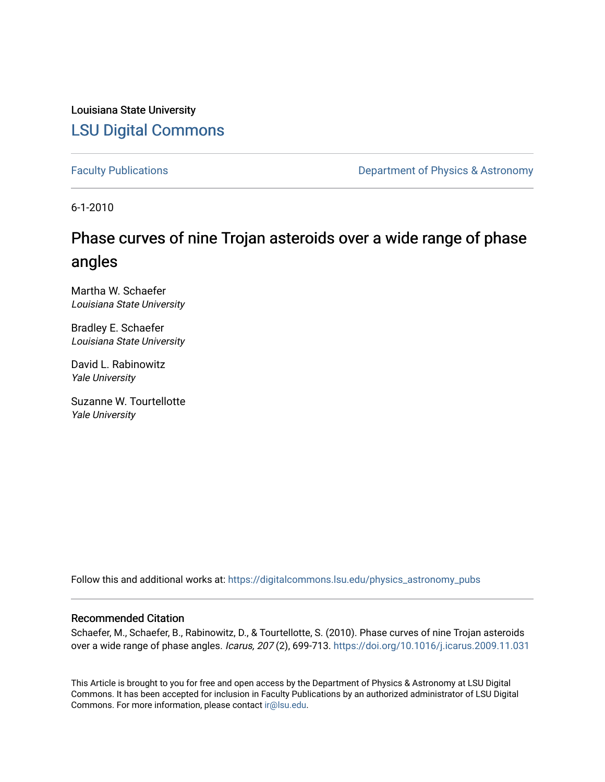Louisiana State University [LSU Digital Commons](https://digitalcommons.lsu.edu/)

[Faculty Publications](https://digitalcommons.lsu.edu/physics_astronomy_pubs) **Exercise 2 and Table 2 and Table 2 and Table 2 and Table 2 and Table 2 and Table 2 and Table 2 and Table 2 and Table 2 and Table 2 and Table 2 and Table 2 and Table 2 and Table 2 and Table 2 and Table** 

6-1-2010

# Phase curves of nine Trojan asteroids over a wide range of phase angles

Martha W. Schaefer Louisiana State University

Bradley E. Schaefer Louisiana State University

David L. Rabinowitz Yale University

Suzanne W. Tourtellotte Yale University

Follow this and additional works at: [https://digitalcommons.lsu.edu/physics\\_astronomy\\_pubs](https://digitalcommons.lsu.edu/physics_astronomy_pubs?utm_source=digitalcommons.lsu.edu%2Fphysics_astronomy_pubs%2F4681&utm_medium=PDF&utm_campaign=PDFCoverPages) 

### Recommended Citation

Schaefer, M., Schaefer, B., Rabinowitz, D., & Tourtellotte, S. (2010). Phase curves of nine Trojan asteroids over a wide range of phase angles. Icarus, 207 (2), 699-713. <https://doi.org/10.1016/j.icarus.2009.11.031>

This Article is brought to you for free and open access by the Department of Physics & Astronomy at LSU Digital Commons. It has been accepted for inclusion in Faculty Publications by an authorized administrator of LSU Digital Commons. For more information, please contact [ir@lsu.edu](mailto:ir@lsu.edu).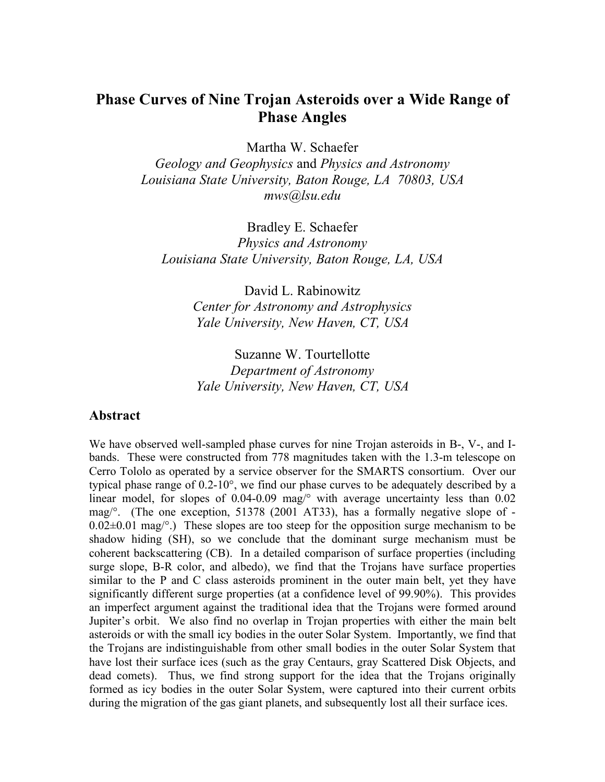# **Phase Curves of Nine Trojan Asteroids over a Wide Range of Phase Angles**

Martha W. Schaefer

*Geology and Geophysics* and *Physics and Astronomy Louisiana State University, Baton Rouge, LA 70803, USA mws@lsu.edu*

Bradley E. Schaefer *Physics and Astronomy Louisiana State University, Baton Rouge, LA, USA*

> David L. Rabinowitz *Center for Astronomy and Astrophysics Yale University, New Haven, CT, USA*

Suzanne W. Tourtellotte *Department of Astronomy Yale University, New Haven, CT, USA*

## **Abstract**

We have observed well-sampled phase curves for nine Trojan asteroids in B-, V-, and Ibands. These were constructed from 778 magnitudes taken with the 1.3-m telescope on Cerro Tololo as operated by a service observer for the SMARTS consortium. Over our typical phase range of 0.2-10°, we find our phase curves to be adequately described by a linear model, for slopes of 0.04-0.09 mag/° with average uncertainty less than 0.02 mag/°. (The one exception, 51378 (2001 AT33), has a formally negative slope of -  $0.02\pm0.01$  mag/°.) These slopes are too steep for the opposition surge mechanism to be shadow hiding (SH), so we conclude that the dominant surge mechanism must be coherent backscattering (CB). In a detailed comparison of surface properties (including surge slope, B-R color, and albedo), we find that the Trojans have surface properties similar to the P and C class asteroids prominent in the outer main belt, yet they have significantly different surge properties (at a confidence level of 99.90%). This provides an imperfect argument against the traditional idea that the Trojans were formed around Jupiter's orbit. We also find no overlap in Trojan properties with either the main belt asteroids or with the small icy bodies in the outer Solar System. Importantly, we find that the Trojans are indistinguishable from other small bodies in the outer Solar System that have lost their surface ices (such as the gray Centaurs, gray Scattered Disk Objects, and dead comets). Thus, we find strong support for the idea that the Trojans originally formed as icy bodies in the outer Solar System, were captured into their current orbits during the migration of the gas giant planets, and subsequently lost all their surface ices.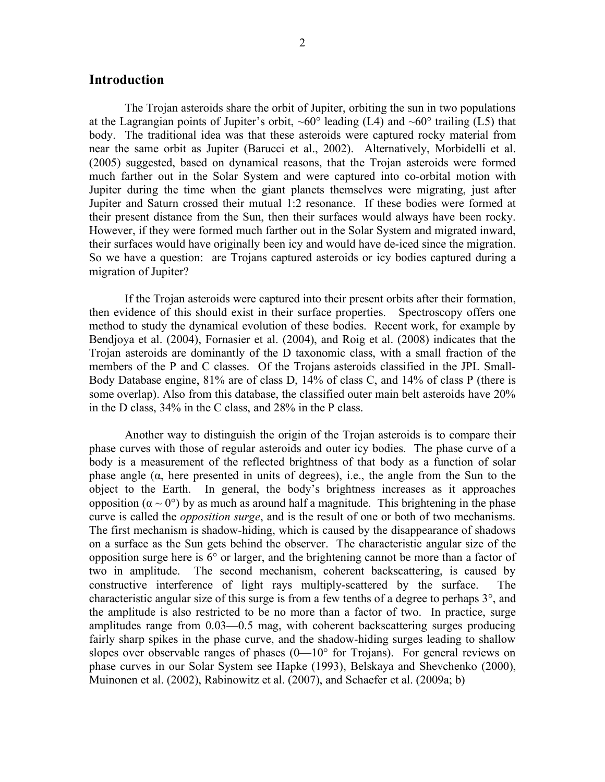## **Introduction**

The Trojan asteroids share the orbit of Jupiter, orbiting the sun in two populations at the Lagrangian points of Jupiter's orbit,  $\sim 60^{\circ}$  leading (L4) and  $\sim 60^{\circ}$  trailing (L5) that body. The traditional idea was that these asteroids were captured rocky material from near the same orbit as Jupiter (Barucci et al., 2002). Alternatively, Morbidelli et al. (2005) suggested, based on dynamical reasons, that the Trojan asteroids were formed much farther out in the Solar System and were captured into co-orbital motion with Jupiter during the time when the giant planets themselves were migrating, just after Jupiter and Saturn crossed their mutual 1:2 resonance. If these bodies were formed at their present distance from the Sun, then their surfaces would always have been rocky. However, if they were formed much farther out in the Solar System and migrated inward, their surfaces would have originally been icy and would have de-iced since the migration. So we have a question: are Trojans captured asteroids or icy bodies captured during a migration of Jupiter?

If the Trojan asteroids were captured into their present orbits after their formation, then evidence of this should exist in their surface properties. Spectroscopy offers one method to study the dynamical evolution of these bodies. Recent work, for example by Bendjoya et al. (2004), Fornasier et al. (2004), and Roig et al. (2008) indicates that the Trojan asteroids are dominantly of the D taxonomic class, with a small fraction of the members of the P and C classes. Of the Trojans asteroids classified in the JPL Small-Body Database engine, 81% are of class D, 14% of class C, and 14% of class P (there is some overlap). Also from this database, the classified outer main belt asteroids have 20% in the D class, 34% in the C class, and 28% in the P class.

Another way to distinguish the origin of the Trojan asteroids is to compare their phase curves with those of regular asteroids and outer icy bodies. The phase curve of a body is a measurement of the reflected brightness of that body as a function of solar phase angle  $(\alpha)$ , here presented in units of degrees), i.e., the angle from the Sun to the object to the Earth. In general, the body's brightness increases as it approaches opposition ( $α \sim 0°$ ) by as much as around half a magnitude. This brightening in the phase curve is called the *opposition surge*, and is the result of one or both of two mechanisms. The first mechanism is shadow-hiding, which is caused by the disappearance of shadows on a surface as the Sun gets behind the observer. The characteristic angular size of the opposition surge here is 6° or larger, and the brightening cannot be more than a factor of two in amplitude. The second mechanism, coherent backscattering, is caused by constructive interference of light rays multiply-scattered by the surface. The characteristic angular size of this surge is from a few tenths of a degree to perhaps 3°, and the amplitude is also restricted to be no more than a factor of two. In practice, surge amplitudes range from 0.03—0.5 mag, with coherent backscattering surges producing fairly sharp spikes in the phase curve, and the shadow-hiding surges leading to shallow slopes over observable ranges of phases  $(0-10^{\circ}$  for Trojans). For general reviews on phase curves in our Solar System see Hapke (1993), Belskaya and Shevchenko (2000), Muinonen et al. (2002), Rabinowitz et al. (2007), and Schaefer et al. (2009a; b)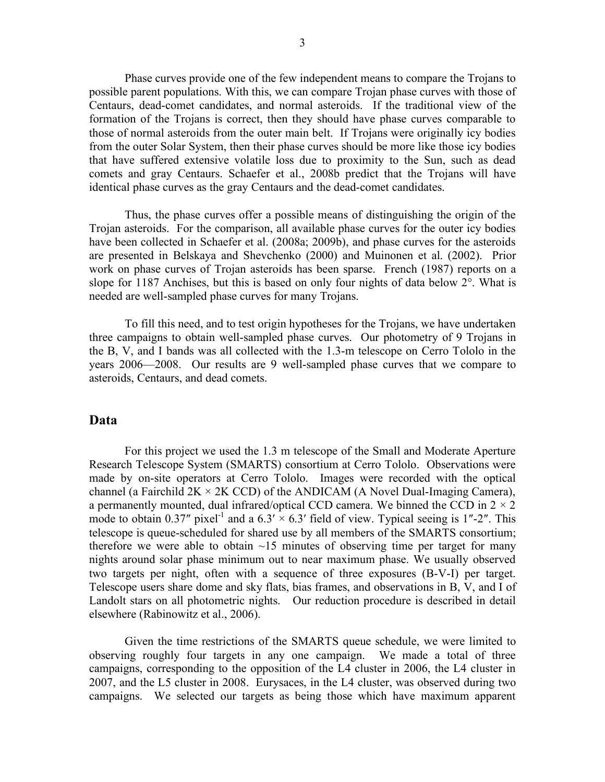Phase curves provide one of the few independent means to compare the Trojans to possible parent populations. With this, we can compare Trojan phase curves with those of Centaurs, dead-comet candidates, and normal asteroids. If the traditional view of the formation of the Trojans is correct, then they should have phase curves comparable to those of normal asteroids from the outer main belt. If Trojans were originally icy bodies from the outer Solar System, then their phase curves should be more like those icy bodies that have suffered extensive volatile loss due to proximity to the Sun, such as dead comets and gray Centaurs. Schaefer et al., 2008b predict that the Trojans will have identical phase curves as the gray Centaurs and the dead-comet candidates.

Thus, the phase curves offer a possible means of distinguishing the origin of the Trojan asteroids. For the comparison, all available phase curves for the outer icy bodies have been collected in Schaefer et al. (2008a; 2009b), and phase curves for the asteroids are presented in Belskaya and Shevchenko (2000) and Muinonen et al. (2002). Prior work on phase curves of Trojan asteroids has been sparse. French (1987) reports on a slope for 1187 Anchises, but this is based on only four nights of data below 2°. What is needed are well-sampled phase curves for many Trojans.

To fill this need, and to test origin hypotheses for the Trojans, we have undertaken three campaigns to obtain well-sampled phase curves. Our photometry of 9 Trojans in the B, V, and I bands was all collected with the 1.3-m telescope on Cerro Tololo in the years 2006—2008. Our results are 9 well-sampled phase curves that we compare to asteroids, Centaurs, and dead comets.

## **Data**

For this project we used the 1.3 m telescope of the Small and Moderate Aperture Research Telescope System (SMARTS) consortium at Cerro Tololo. Observations were made by on-site operators at Cerro Tololo. Images were recorded with the optical channel (a Fairchild  $2K \times 2K$  CCD) of the ANDICAM (A Novel Dual-Imaging Camera), a permanently mounted, dual infrared/optical CCD camera. We binned the CCD in  $2 \times 2$ mode to obtain 0.37" pixel<sup>-1</sup> and a 6.3'  $\times$  6.3' field of view. Typical seeing is 1"-2". This telescope is queue-scheduled for shared use by all members of the SMARTS consortium; therefore we were able to obtain  $\sim$ 15 minutes of observing time per target for many nights around solar phase minimum out to near maximum phase. We usually observed two targets per night, often with a sequence of three exposures (B-V-I) per target. Telescope users share dome and sky flats, bias frames, and observations in B, V, and I of Landolt stars on all photometric nights. Our reduction procedure is described in detail elsewhere (Rabinowitz et al., 2006).

Given the time restrictions of the SMARTS queue schedule, we were limited to observing roughly four targets in any one campaign. We made a total of three campaigns, corresponding to the opposition of the L4 cluster in 2006, the L4 cluster in 2007, and the L5 cluster in 2008. Eurysaces, in the L4 cluster, was observed during two campaigns. We selected our targets as being those which have maximum apparent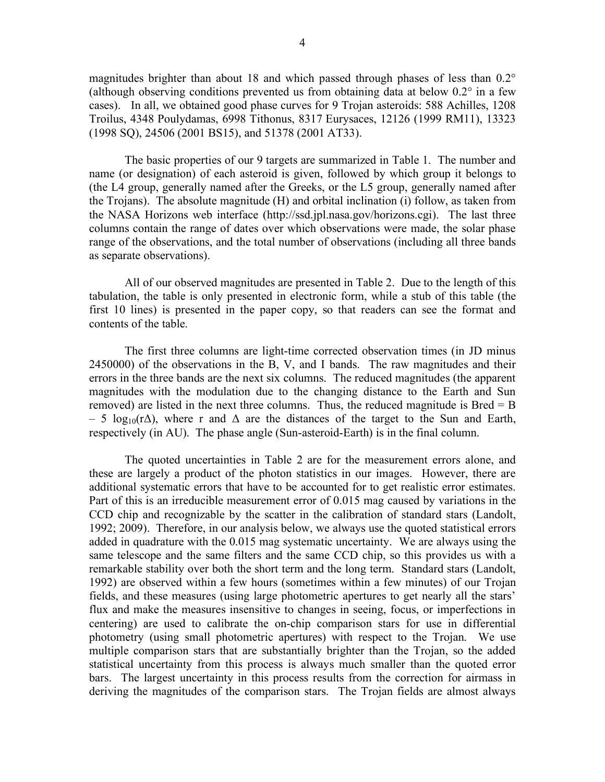magnitudes brighter than about 18 and which passed through phases of less than 0.2° (although observing conditions prevented us from obtaining data at below 0.2° in a few cases). In all, we obtained good phase curves for 9 Trojan asteroids: 588 Achilles, 1208 Troilus, 4348 Poulydamas, 6998 Tithonus, 8317 Eurysaces, 12126 (1999 RM11), 13323 (1998 SQ), 24506 (2001 BS15), and 51378 (2001 AT33).

The basic properties of our 9 targets are summarized in Table 1. The number and name (or designation) of each asteroid is given, followed by which group it belongs to (the L4 group, generally named after the Greeks, or the L5 group, generally named after the Trojans). The absolute magnitude (H) and orbital inclination (i) follow, as taken from the NASA Horizons web interface (http://ssd.jpl.nasa.gov/horizons.cgi). The last three columns contain the range of dates over which observations were made, the solar phase range of the observations, and the total number of observations (including all three bands as separate observations).

All of our observed magnitudes are presented in Table 2. Due to the length of this tabulation, the table is only presented in electronic form, while a stub of this table (the first 10 lines) is presented in the paper copy, so that readers can see the format and contents of the table.

The first three columns are light-time corrected observation times (in JD minus 2450000) of the observations in the B, V, and I bands. The raw magnitudes and their errors in the three bands are the next six columns. The reduced magnitudes (the apparent magnitudes with the modulation due to the changing distance to the Earth and Sun removed) are listed in the next three columns. Thus, the reduced magnitude is  $Bred = B$  $-5 \log_{10}(r\Delta)$ , where r and  $\Delta$  are the distances of the target to the Sun and Earth, respectively (in AU). The phase angle (Sun-asteroid-Earth) is in the final column.

The quoted uncertainties in Table 2 are for the measurement errors alone, and these are largely a product of the photon statistics in our images. However, there are additional systematic errors that have to be accounted for to get realistic error estimates. Part of this is an irreducible measurement error of 0.015 mag caused by variations in the CCD chip and recognizable by the scatter in the calibration of standard stars (Landolt, 1992; 2009). Therefore, in our analysis below, we always use the quoted statistical errors added in quadrature with the 0.015 mag systematic uncertainty. We are always using the same telescope and the same filters and the same CCD chip, so this provides us with a remarkable stability over both the short term and the long term. Standard stars (Landolt, 1992) are observed within a few hours (sometimes within a few minutes) of our Trojan fields, and these measures (using large photometric apertures to get nearly all the stars' flux and make the measures insensitive to changes in seeing, focus, or imperfections in centering) are used to calibrate the on-chip comparison stars for use in differential photometry (using small photometric apertures) with respect to the Trojan. We use multiple comparison stars that are substantially brighter than the Trojan, so the added statistical uncertainty from this process is always much smaller than the quoted error bars. The largest uncertainty in this process results from the correction for airmass in deriving the magnitudes of the comparison stars. The Trojan fields are almost always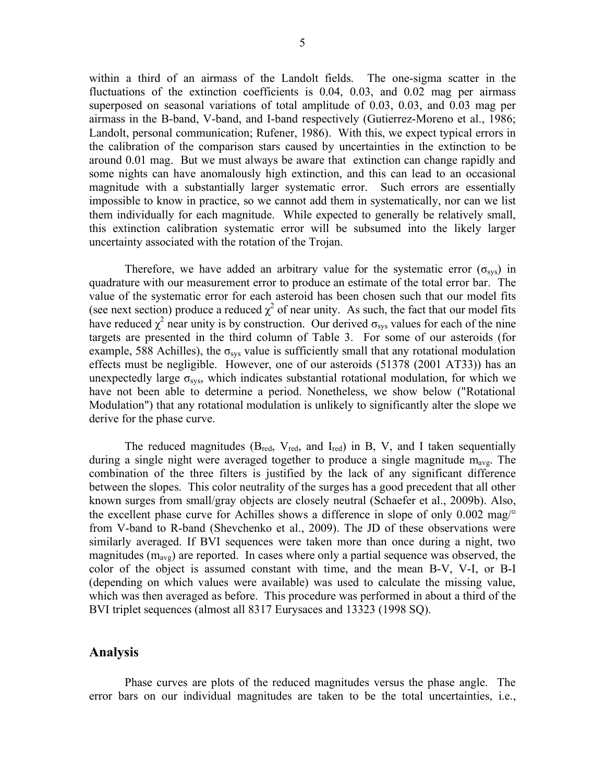within a third of an airmass of the Landolt fields. The one-sigma scatter in the fluctuations of the extinction coefficients is 0.04, 0.03, and 0.02 mag per airmass superposed on seasonal variations of total amplitude of 0.03, 0.03, and 0.03 mag per airmass in the B-band, V-band, and I-band respectively (Gutierrez-Moreno et al., 1986; Landolt, personal communication; Rufener, 1986). With this, we expect typical errors in the calibration of the comparison stars caused by uncertainties in the extinction to be around 0.01 mag. But we must always be aware that extinction can change rapidly and some nights can have anomalously high extinction, and this can lead to an occasional magnitude with a substantially larger systematic error. Such errors are essentially impossible to know in practice, so we cannot add them in systematically, nor can we list them individually for each magnitude. While expected to generally be relatively small, this extinction calibration systematic error will be subsumed into the likely larger uncertainty associated with the rotation of the Trojan.

Therefore, we have added an arbitrary value for the systematic error  $(\sigma_{sys})$  in quadrature with our measurement error to produce an estimate of the total error bar. The value of the systematic error for each asteroid has been chosen such that our model fits (see next section) produce a reduced  $\chi^2$  of near unity. As such, the fact that our model fits have reduced  $\chi^2$  near unity is by construction. Our derived  $\sigma_{sys}$  values for each of the nine targets are presented in the third column of Table 3. For some of our asteroids (for example, 588 Achilles), the  $\sigma_{sys}$  value is sufficiently small that any rotational modulation effects must be negligible. However, one of our asteroids (51378 (2001 AT33)) has an unexpectedly large  $\sigma_{sys}$ , which indicates substantial rotational modulation, for which we have not been able to determine a period. Nonetheless, we show below ("Rotational Modulation") that any rotational modulation is unlikely to significantly alter the slope we derive for the phase curve.

The reduced magnitudes ( $B_{red}$ ,  $V_{red}$ , and  $I_{red}$ ) in B, V, and I taken sequentially during a single night were averaged together to produce a single magnitude  $m_{avg}$ . The combination of the three filters is justified by the lack of any significant difference between the slopes. This color neutrality of the surges has a good precedent that all other known surges from small/gray objects are closely neutral (Schaefer et al., 2009b). Also, the excellent phase curve for Achilles shows a difference in slope of only 0.002 mag/° from V-band to R-band (Shevchenko et al., 2009). The JD of these observations were similarly averaged. If BVI sequences were taken more than once during a night, two magnitudes  $(m_{\text{avg}})$  are reported. In cases where only a partial sequence was observed, the color of the object is assumed constant with time, and the mean B-V, V-I, or B-I (depending on which values were available) was used to calculate the missing value, which was then averaged as before. This procedure was performed in about a third of the BVI triplet sequences (almost all 8317 Eurysaces and 13323 (1998 SQ).

### **Analysis**

Phase curves are plots of the reduced magnitudes versus the phase angle. The error bars on our individual magnitudes are taken to be the total uncertainties, i.e.,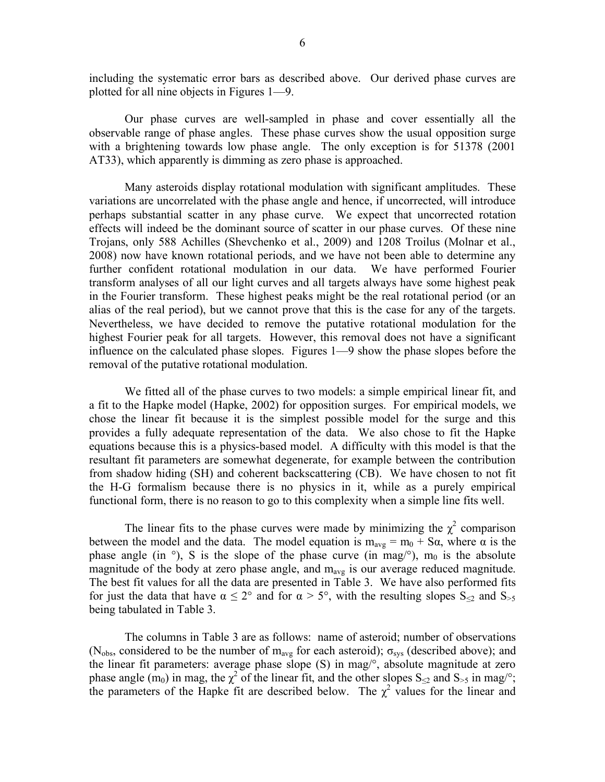including the systematic error bars as described above. Our derived phase curves are plotted for all nine objects in Figures 1—9.

Our phase curves are well-sampled in phase and cover essentially all the observable range of phase angles. These phase curves show the usual opposition surge with a brightening towards low phase angle. The only exception is for 51378 (2001 AT33), which apparently is dimming as zero phase is approached.

Many asteroids display rotational modulation with significant amplitudes. These variations are uncorrelated with the phase angle and hence, if uncorrected, will introduce perhaps substantial scatter in any phase curve. We expect that uncorrected rotation effects will indeed be the dominant source of scatter in our phase curves. Of these nine Trojans, only 588 Achilles (Shevchenko et al., 2009) and 1208 Troilus (Molnar et al., 2008) now have known rotational periods, and we have not been able to determine any further confident rotational modulation in our data. We have performed Fourier transform analyses of all our light curves and all targets always have some highest peak in the Fourier transform. These highest peaks might be the real rotational period (or an alias of the real period), but we cannot prove that this is the case for any of the targets. Nevertheless, we have decided to remove the putative rotational modulation for the highest Fourier peak for all targets. However, this removal does not have a significant influence on the calculated phase slopes. Figures 1—9 show the phase slopes before the removal of the putative rotational modulation.

We fitted all of the phase curves to two models: a simple empirical linear fit, and a fit to the Hapke model (Hapke, 2002) for opposition surges. For empirical models, we chose the linear fit because it is the simplest possible model for the surge and this provides a fully adequate representation of the data. We also chose to fit the Hapke equations because this is a physics-based model. A difficulty with this model is that the resultant fit parameters are somewhat degenerate, for example between the contribution from shadow hiding (SH) and coherent backscattering (CB). We have chosen to not fit the H-G formalism because there is no physics in it, while as a purely empirical functional form, there is no reason to go to this complexity when a simple line fits well.

The linear fits to the phase curves were made by minimizing the  $\chi^2$  comparison between the model and the data. The model equation is  $m_{avg} = m_0 + S\alpha$ , where  $\alpha$  is the phase angle (in  $\degree$ ), S is the slope of the phase curve (in mag/ $\degree$ ), m<sub>0</sub> is the absolute magnitude of the body at zero phase angle, and  $m_{avg}$  is our average reduced magnitude. The best fit values for all the data are presented in Table 3. We have also performed fits for just the data that have  $\alpha \leq 2^{\circ}$  and for  $\alpha > 5^{\circ}$ , with the resulting slopes  $S_{\leq 2}$  and  $S_{> 5}$ being tabulated in Table 3.

The columns in Table 3 are as follows: name of asteroid; number of observations (N<sub>obs</sub>, considered to be the number of m<sub>avg</sub> for each asteroid);  $\sigma_{sys}$  (described above); and the linear fit parameters: average phase slope (S) in mag/°, absolute magnitude at zero phase angle (m<sub>0</sub>) in mag, the  $\chi^2$  of the linear fit, and the other slopes S<sub> $\leq$ 2</sub> and S<sub>>5</sub> in mag/°; the parameters of the Hapke fit are described below. The  $\chi^2$  values for the linear and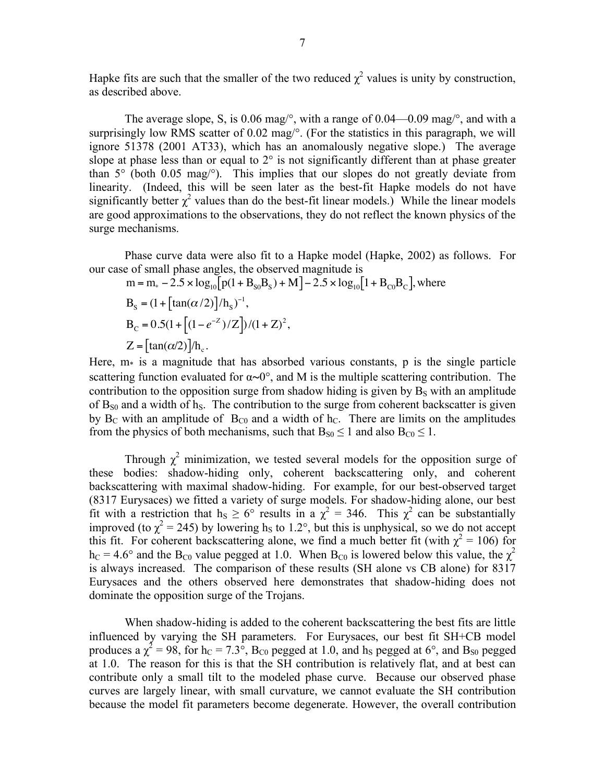Hapke fits are such that the smaller of the two reduced  $\chi^2$  values is unity by construction, as described above.

The average slope, S, is  $0.06 \text{ mag}$ <sup>o</sup>, with a range of  $0.04$ — $0.09 \text{ mag}$ <sup>o</sup>, and with a surprisingly low RMS scatter of 0.02 mag/°. (For the statistics in this paragraph, we will ignore 51378 (2001 AT33), which has an anomalously negative slope.) The average slope at phase less than or equal to  $2^{\circ}$  is not significantly different than at phase greater than  $5^{\circ}$  (both 0.05 mag/ $^{\circ}$ ). This implies that our slopes do not greatly deviate from linearity. (Indeed, this will be seen later as the best-fit Hapke models do not have significantly better  $\chi^2$  values than do the best-fit linear models.) While the linear models are good approximations to the observations, they do not reflect the known physics of the surge mechanisms.

Phase curve data were also fit to a Hapke model (Hapke, 2002) as follows. For our case of small phase angles, the observed magnitude is

$$
m = m_* - 2.5 \times \log_{10} [p(1 + B_{S0}B_S) + M] - 2.5 \times \log_{10} [1 + B_{C0}B_C],
$$
 where  
\n
$$
B_S = (1 + [\tan(\alpha/2)]/h_S)^{-1},
$$
  
\n
$$
B_C = 0.5(1 + [(1 - e^{-Z})/Z])/(1 + Z)^2,
$$
  
\n
$$
Z = [\tan(\alpha/2)]/h_c.
$$

Here,  $m*$  is a magnitude that has absorbed various constants, p is the single particle scattering function evaluated for  $\alpha \sim 0^{\circ}$ , and M is the multiple scattering contribution. The contribution to the opposition surge from shadow hiding is given by  $B<sub>S</sub>$  with an amplitude of  $B_{\rm S0}$  and a width of h<sub>S</sub>. The contribution to the surge from coherent backscatter is given by  $B_C$  with an amplitude of  $B_{C0}$  and a width of  $h_C$ . There are limits on the amplitudes from the physics of both mechanisms, such that  $B_{s0} \le 1$  and also  $B_{C0} \le 1$ .

Through  $\chi^2$  minimization, we tested several models for the opposition surge of these bodies: shadow-hiding only, coherent backscattering only, and coherent backscattering with maximal shadow-hiding. For example, for our best-observed target (8317 Eurysaces) we fitted a variety of surge models. For shadow-hiding alone, our best fit with a restriction that  $h_s \ge 6^\circ$  results in a  $\chi^2 = 346$ . This  $\chi^2$  can be substantially improved (to  $\chi^2$  = 245) by lowering h<sub>s</sub> to 1.2°, but this is unphysical, so we do not accept this fit. For coherent backscattering alone, we find a much better fit (with  $\chi^2 = 106$ ) for  $h_C = 4.6^\circ$  and the B<sub>C0</sub> value pegged at 1.0. When B<sub>C0</sub> is lowered below this value, the  $\chi^2$ is always increased. The comparison of these results (SH alone vs CB alone) for 8317 Eurysaces and the others observed here demonstrates that shadow-hiding does not dominate the opposition surge of the Trojans.

When shadow-hiding is added to the coherent backscattering the best fits are little influenced by varying the SH parameters. For Eurysaces, our best fit SH+CB model produces a  $\chi^2$  = 98, for h<sub>C</sub> = 7.3<sup>°</sup>, B<sub>C0</sub> pegged at 1.0, and h<sub>S</sub> pegged at 6<sup>°</sup>, and B<sub>S0</sub> pegged at 1.0. The reason for this is that the SH contribution is relatively flat, and at best can contribute only a small tilt to the modeled phase curve. Because our observed phase curves are largely linear, with small curvature, we cannot evaluate the SH contribution because the model fit parameters become degenerate. However, the overall contribution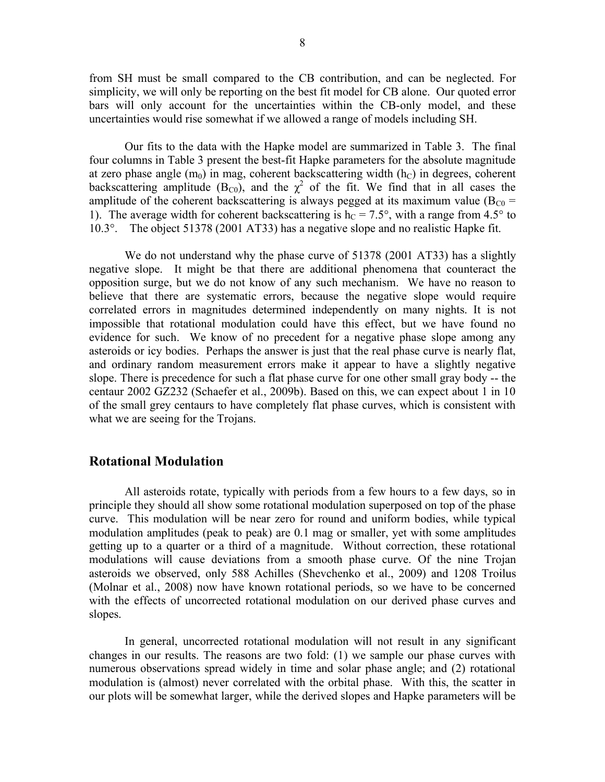from SH must be small compared to the CB contribution, and can be neglected. For simplicity, we will only be reporting on the best fit model for CB alone. Our quoted error bars will only account for the uncertainties within the CB-only model, and these uncertainties would rise somewhat if we allowed a range of models including SH.

Our fits to the data with the Hapke model are summarized in Table 3. The final four columns in Table 3 present the best-fit Hapke parameters for the absolute magnitude at zero phase angle  $(m_0)$  in mag, coherent backscattering width  $(h<sub>C</sub>)$  in degrees, coherent backscattering amplitude (B<sub>C0</sub>), and the  $\chi^2$  of the fit. We find that in all cases the amplitude of the coherent backscattering is always pegged at its maximum value ( $B_{C0}$  = 1). The average width for coherent backscattering is  $h<sub>C</sub> = 7.5^{\circ}$ , with a range from 4.5° to 10.3°. The object 51378 (2001 AT33) has a negative slope and no realistic Hapke fit.

We do not understand why the phase curve of 51378 (2001 AT33) has a slightly negative slope. It might be that there are additional phenomena that counteract the opposition surge, but we do not know of any such mechanism. We have no reason to believe that there are systematic errors, because the negative slope would require correlated errors in magnitudes determined independently on many nights. It is not impossible that rotational modulation could have this effect, but we have found no evidence for such. We know of no precedent for a negative phase slope among any asteroids or icy bodies. Perhaps the answer is just that the real phase curve is nearly flat, and ordinary random measurement errors make it appear to have a slightly negative slope. There is precedence for such a flat phase curve for one other small gray body -- the centaur 2002 GZ232 (Schaefer et al., 2009b). Based on this, we can expect about 1 in 10 of the small grey centaurs to have completely flat phase curves, which is consistent with what we are seeing for the Trojans.

## **Rotational Modulation**

All asteroids rotate, typically with periods from a few hours to a few days, so in principle they should all show some rotational modulation superposed on top of the phase curve. This modulation will be near zero for round and uniform bodies, while typical modulation amplitudes (peak to peak) are 0.1 mag or smaller, yet with some amplitudes getting up to a quarter or a third of a magnitude. Without correction, these rotational modulations will cause deviations from a smooth phase curve. Of the nine Trojan asteroids we observed, only 588 Achilles (Shevchenko et al., 2009) and 1208 Troilus (Molnar et al., 2008) now have known rotational periods, so we have to be concerned with the effects of uncorrected rotational modulation on our derived phase curves and slopes.

In general, uncorrected rotational modulation will not result in any significant changes in our results. The reasons are two fold: (1) we sample our phase curves with numerous observations spread widely in time and solar phase angle; and (2) rotational modulation is (almost) never correlated with the orbital phase. With this, the scatter in our plots will be somewhat larger, while the derived slopes and Hapke parameters will be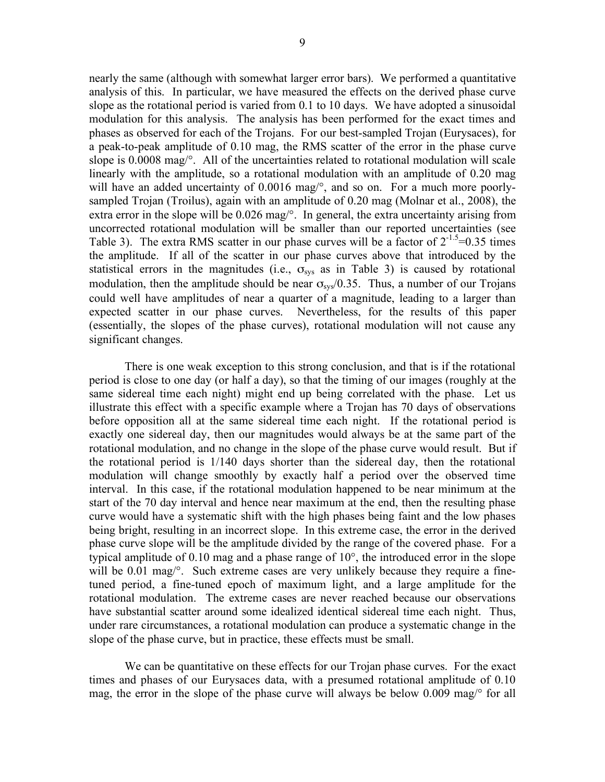nearly the same (although with somewhat larger error bars). We performed a quantitative analysis of this. In particular, we have measured the effects on the derived phase curve slope as the rotational period is varied from 0.1 to 10 days. We have adopted a sinusoidal modulation for this analysis. The analysis has been performed for the exact times and phases as observed for each of the Trojans. For our best-sampled Trojan (Eurysaces), for a peak-to-peak amplitude of 0.10 mag, the RMS scatter of the error in the phase curve slope is 0.0008 mag/°. All of the uncertainties related to rotational modulation will scale linearly with the amplitude, so a rotational modulation with an amplitude of 0.20 mag will have an added uncertainty of 0.0016 mag/°, and so on. For a much more poorlysampled Trojan (Troilus), again with an amplitude of 0.20 mag (Molnar et al., 2008), the extra error in the slope will be 0.026 mag/°. In general, the extra uncertainty arising from uncorrected rotational modulation will be smaller than our reported uncertainties (see Table 3). The extra RMS scatter in our phase curves will be a factor of  $2^{-1.5}$ =0.35 times the amplitude. If all of the scatter in our phase curves above that introduced by the statistical errors in the magnitudes (i.e.,  $\sigma_{sys}$  as in Table 3) is caused by rotational modulation, then the amplitude should be near  $\sigma_{sys}/0.35$ . Thus, a number of our Trojans could well have amplitudes of near a quarter of a magnitude, leading to a larger than expected scatter in our phase curves. Nevertheless, for the results of this paper (essentially, the slopes of the phase curves), rotational modulation will not cause any significant changes.

There is one weak exception to this strong conclusion, and that is if the rotational period is close to one day (or half a day), so that the timing of our images (roughly at the same sidereal time each night) might end up being correlated with the phase. Let us illustrate this effect with a specific example where a Trojan has 70 days of observations before opposition all at the same sidereal time each night. If the rotational period is exactly one sidereal day, then our magnitudes would always be at the same part of the rotational modulation, and no change in the slope of the phase curve would result. But if the rotational period is 1/140 days shorter than the sidereal day, then the rotational modulation will change smoothly by exactly half a period over the observed time interval. In this case, if the rotational modulation happened to be near minimum at the start of the 70 day interval and hence near maximum at the end, then the resulting phase curve would have a systematic shift with the high phases being faint and the low phases being bright, resulting in an incorrect slope. In this extreme case, the error in the derived phase curve slope will be the amplitude divided by the range of the covered phase. For a typical amplitude of 0.10 mag and a phase range of 10°, the introduced error in the slope will be 0.01 mag/°. Such extreme cases are very unlikely because they require a finetuned period, a fine-tuned epoch of maximum light, and a large amplitude for the rotational modulation. The extreme cases are never reached because our observations have substantial scatter around some idealized identical sidereal time each night. Thus, under rare circumstances, a rotational modulation can produce a systematic change in the slope of the phase curve, but in practice, these effects must be small.

We can be quantitative on these effects for our Trojan phase curves. For the exact times and phases of our Eurysaces data, with a presumed rotational amplitude of 0.10 mag, the error in the slope of the phase curve will always be below 0.009 mag/° for all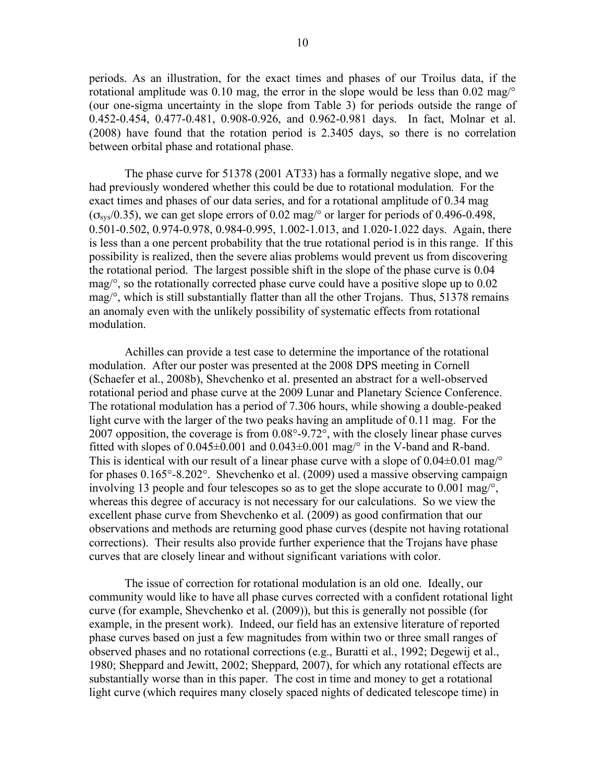periods. As an illustration, for the exact times and phases of our Troilus data, if the rotational amplitude was  $0.10$  mag, the error in the slope would be less than  $0.02$  mag/ $\degree$ (our one-sigma uncertainty in the slope from Table 3) for periods outside the range of 0.452-0.454, 0.477-0.481, 0.908-0.926, and 0.962-0.981 days. In fact, Molnar et al. (2008) have found that the rotation period is 2.3405 days, so there is no correlation between orbital phase and rotational phase.

The phase curve for 51378 (2001 AT33) has a formally negative slope, and we had previously wondered whether this could be due to rotational modulation. For the exact times and phases of our data series, and for a rotational amplitude of 0.34 mag  $(\sigma_{\text{sys}}/0.35)$ , we can get slope errors of 0.02 mag/ $\degree$  or larger for periods of 0.496-0.498, 0.501-0.502, 0.974-0.978, 0.984-0.995, 1.002-1.013, and 1.020-1.022 days. Again, there is less than a one percent probability that the true rotational period is in this range. If this possibility is realized, then the severe alias problems would prevent us from discovering the rotational period. The largest possible shift in the slope of the phase curve is 0.04 mag/°, so the rotationally corrected phase curve could have a positive slope up to 0.02 mag/°, which is still substantially flatter than all the other Trojans. Thus, 51378 remains an anomaly even with the unlikely possibility of systematic effects from rotational modulation.

Achilles can provide a test case to determine the importance of the rotational modulation. After our poster was presented at the 2008 DPS meeting in Cornell (Schaefer et al., 2008b), Shevchenko et al. presented an abstract for a well-observed rotational period and phase curve at the 2009 Lunar and Planetary Science Conference. The rotational modulation has a period of 7.306 hours, while showing a double-peaked light curve with the larger of the two peaks having an amplitude of 0.11 mag. For the 2007 opposition, the coverage is from 0.08°-9.72°, with the closely linear phase curves fitted with slopes of  $0.045\pm0.001$  and  $0.043\pm0.001$  mag/ $\degree$  in the V-band and R-band. This is identical with our result of a linear phase curve with a slope of  $0.04\pm0.01$  mag/<sup>o</sup> for phases 0.165°-8.202°. Shevchenko et al. (2009) used a massive observing campaign involving 13 people and four telescopes so as to get the slope accurate to 0.001 mag/°, whereas this degree of accuracy is not necessary for our calculations. So we view the excellent phase curve from Shevchenko et al. (2009) as good confirmation that our observations and methods are returning good phase curves (despite not having rotational corrections). Their results also provide further experience that the Trojans have phase curves that are closely linear and without significant variations with color.

The issue of correction for rotational modulation is an old one. Ideally, our community would like to have all phase curves corrected with a confident rotational light curve (for example, Shevchenko et al. (2009)), but this is generally not possible (for example, in the present work). Indeed, our field has an extensive literature of reported phase curves based on just a few magnitudes from within two or three small ranges of observed phases and no rotational corrections (e.g., Buratti et al., 1992; Degewij et al., 1980; Sheppard and Jewitt, 2002; Sheppard, 2007), for which any rotational effects are substantially worse than in this paper. The cost in time and money to get a rotational light curve (which requires many closely spaced nights of dedicated telescope time) in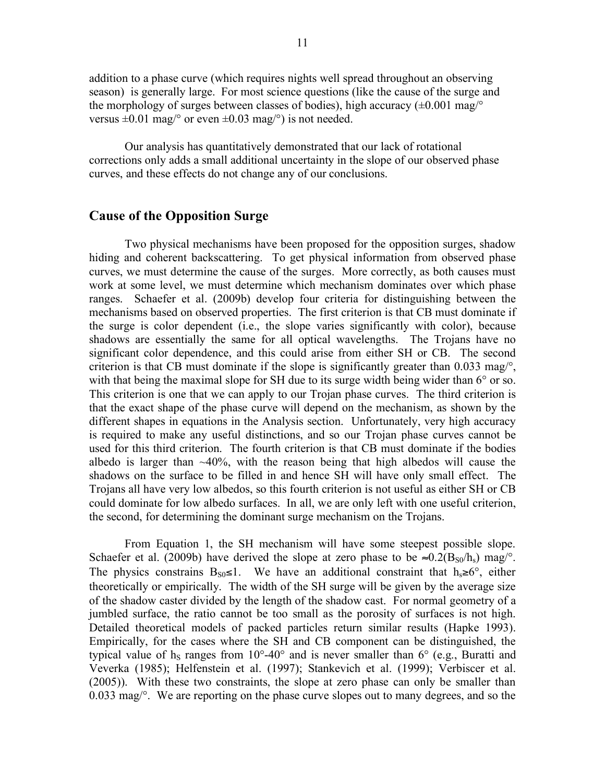addition to a phase curve (which requires nights well spread throughout an observing season) is generally large. For most science questions (like the cause of the surge and the morphology of surges between classes of bodies), high accuracy  $(\pm 0.001 \text{ mag})^{\circ}$ versus  $\pm 0.01$  mag/ $\degree$  or even  $\pm 0.03$  mag/ $\degree$ ) is not needed.

Our analysis has quantitatively demonstrated that our lack of rotational corrections only adds a small additional uncertainty in the slope of our observed phase curves, and these effects do not change any of our conclusions.

## **Cause of the Opposition Surge**

Two physical mechanisms have been proposed for the opposition surges, shadow hiding and coherent backscattering. To get physical information from observed phase curves, we must determine the cause of the surges. More correctly, as both causes must work at some level, we must determine which mechanism dominates over which phase ranges. Schaefer et al. (2009b) develop four criteria for distinguishing between the mechanisms based on observed properties. The first criterion is that CB must dominate if the surge is color dependent (i.e., the slope varies significantly with color), because shadows are essentially the same for all optical wavelengths. The Trojans have no significant color dependence, and this could arise from either SH or CB. The second criterion is that CB must dominate if the slope is significantly greater than  $0.033$  mag/ $^{\circ}$ , with that being the maximal slope for SH due to its surge width being wider than 6<sup>°</sup> or so. This criterion is one that we can apply to our Trojan phase curves. The third criterion is that the exact shape of the phase curve will depend on the mechanism, as shown by the different shapes in equations in the Analysis section. Unfortunately, very high accuracy is required to make any useful distinctions, and so our Trojan phase curves cannot be used for this third criterion. The fourth criterion is that CB must dominate if the bodies albedo is larger than  $\sim$ 40%, with the reason being that high albedos will cause the shadows on the surface to be filled in and hence SH will have only small effect. The Trojans all have very low albedos, so this fourth criterion is not useful as either SH or CB could dominate for low albedo surfaces. In all, we are only left with one useful criterion, the second, for determining the dominant surge mechanism on the Trojans.

From Equation 1, the SH mechanism will have some steepest possible slope. Schaefer et al. (2009b) have derived the slope at zero phase to be  $\approx 0.2(B_{S0}/h_s)$  mag/°. The physics constrains  $B_{\text{SO}} \leq 1$ . We have an additional constraint that  $h_s \geq 6^\circ$ , either theoretically or empirically. The width of the SH surge will be given by the average size of the shadow caster divided by the length of the shadow cast. For normal geometry of a jumbled surface, the ratio cannot be too small as the porosity of surfaces is not high. Detailed theoretical models of packed particles return similar results (Hapke 1993). Empirically, for the cases where the SH and CB component can be distinguished, the typical value of  $h<sub>S</sub>$  ranges from 10°-40° and is never smaller than 6° (e.g., Buratti and Veverka (1985); Helfenstein et al. (1997); Stankevich et al. (1999); Verbiscer et al. (2005)). With these two constraints, the slope at zero phase can only be smaller than 0.033 mag/°. We are reporting on the phase curve slopes out to many degrees, and so the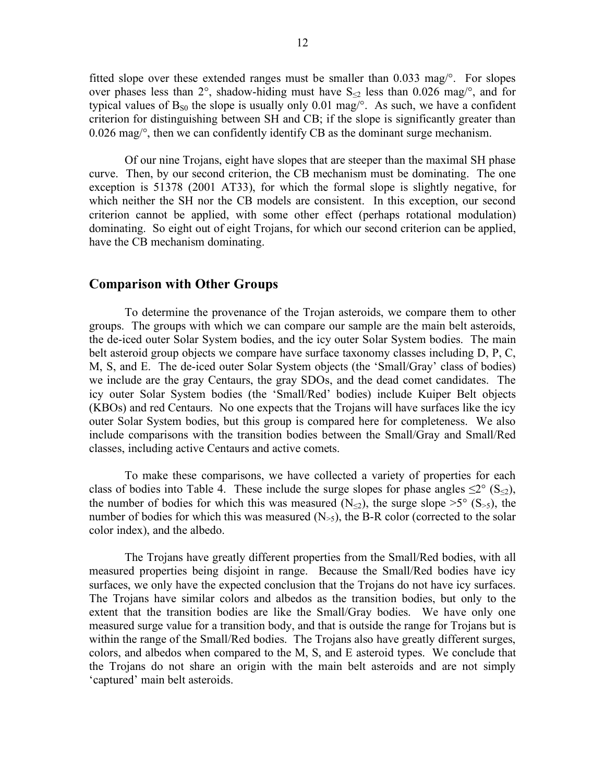fitted slope over these extended ranges must be smaller than  $0.033$  mag/ $\degree$ . For slopes over phases less than  $2^{\circ}$ , shadow-hiding must have S<2 less than 0.026 mag/°, and for typical values of  $B_{\text{SO}}$  the slope is usually only 0.01 mag/°. As such, we have a confident criterion for distinguishing between SH and CB; if the slope is significantly greater than 0.026 mag/°, then we can confidently identify CB as the dominant surge mechanism.

Of our nine Trojans, eight have slopes that are steeper than the maximal SH phase curve. Then, by our second criterion, the CB mechanism must be dominating. The one exception is 51378 (2001 AT33), for which the formal slope is slightly negative, for which neither the SH nor the CB models are consistent. In this exception, our second criterion cannot be applied, with some other effect (perhaps rotational modulation) dominating. So eight out of eight Trojans, for which our second criterion can be applied, have the CB mechanism dominating.

### **Comparison with Other Groups**

To determine the provenance of the Trojan asteroids, we compare them to other groups. The groups with which we can compare our sample are the main belt asteroids, the de-iced outer Solar System bodies, and the icy outer Solar System bodies. The main belt asteroid group objects we compare have surface taxonomy classes including D, P, C, M, S, and E. The de-iced outer Solar System objects (the 'Small/Gray' class of bodies) we include are the gray Centaurs, the gray SDOs, and the dead comet candidates. The icy outer Solar System bodies (the 'Small/Red' bodies) include Kuiper Belt objects (KBOs) and red Centaurs. No one expects that the Trojans will have surfaces like the icy outer Solar System bodies, but this group is compared here for completeness. We also include comparisons with the transition bodies between the Small/Gray and Small/Red classes, including active Centaurs and active comets.

To make these comparisons, we have collected a variety of properties for each class of bodies into Table 4. These include the surge slopes for phase angles  $\leq 2^{\circ}$  (S<sub><2</sub>), the number of bodies for which this was measured  $(N_{\leq 2})$ , the surge slope >5°  $(S_{\geq 5})$ , the number of bodies for which this was measured  $(N_{>5})$ , the B-R color (corrected to the solar color index), and the albedo.

The Trojans have greatly different properties from the Small/Red bodies, with all measured properties being disjoint in range. Because the Small/Red bodies have icy surfaces, we only have the expected conclusion that the Trojans do not have icy surfaces. The Trojans have similar colors and albedos as the transition bodies, but only to the extent that the transition bodies are like the Small/Gray bodies. We have only one measured surge value for a transition body, and that is outside the range for Trojans but is within the range of the Small/Red bodies. The Trojans also have greatly different surges, colors, and albedos when compared to the M, S, and E asteroid types. We conclude that the Trojans do not share an origin with the main belt asteroids and are not simply 'captured' main belt asteroids.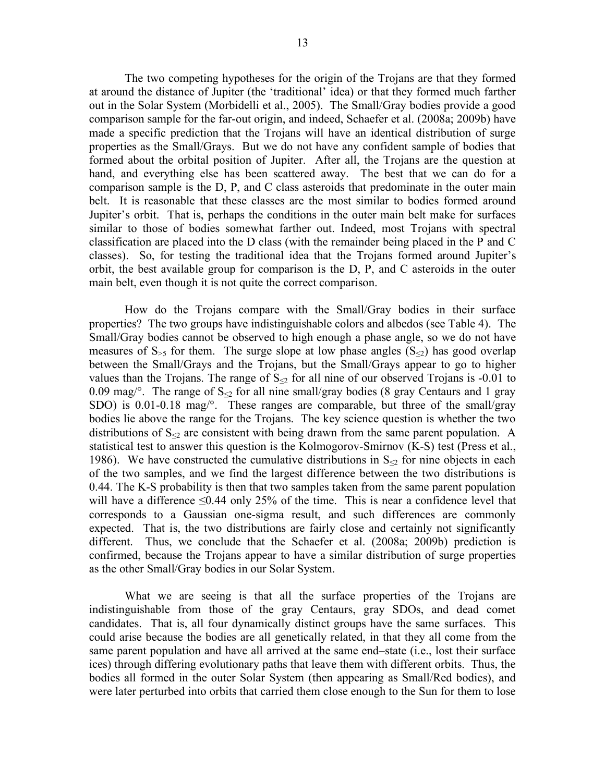The two competing hypotheses for the origin of the Trojans are that they formed at around the distance of Jupiter (the 'traditional' idea) or that they formed much farther out in the Solar System (Morbidelli et al., 2005). The Small/Gray bodies provide a good comparison sample for the far-out origin, and indeed, Schaefer et al. (2008a; 2009b) have made a specific prediction that the Trojans will have an identical distribution of surge properties as the Small/Grays. But we do not have any confident sample of bodies that

formed about the orbital position of Jupiter. After all, the Trojans are the question at hand, and everything else has been scattered away. The best that we can do for a comparison sample is the D, P, and C class asteroids that predominate in the outer main belt. It is reasonable that these classes are the most similar to bodies formed around Jupiter's orbit. That is, perhaps the conditions in the outer main belt make for surfaces similar to those of bodies somewhat farther out. Indeed, most Trojans with spectral classification are placed into the D class (with the remainder being placed in the P and C classes). So, for testing the traditional idea that the Trojans formed around Jupiter's orbit, the best available group for comparison is the D, P, and C asteroids in the outer main belt, even though it is not quite the correct comparison.

How do the Trojans compare with the Small/Gray bodies in their surface properties? The two groups have indistinguishable colors and albedos (see Table 4). The Small/Gray bodies cannot be observed to high enough a phase angle, so we do not have measures of  $S_{\geq 5}$  for them. The surge slope at low phase angles  $(S_{\leq 2})$  has good overlap between the Small/Grays and the Trojans, but the Small/Grays appear to go to higher values than the Trojans. The range of  $S_{\leq 2}$  for all nine of our observed Trojans is -0.01 to 0.09 mag/°. The range of  $S_{\leq 2}$  for all nine small/gray bodies (8 gray Centaurs and 1 gray SDO) is 0.01-0.18 mag/°. These ranges are comparable, but three of the small/gray bodies lie above the range for the Trojans. The key science question is whether the two distributions of  $S_{\leq 2}$  are consistent with being drawn from the same parent population. A statistical test to answer this question is the Kolmogorov-Smirnov (K-S) test (Press et al., 1986). We have constructed the cumulative distributions in  $S_{\leq 2}$  for nine objects in each of the two samples, and we find the largest difference between the two distributions is 0.44. The K-S probability is then that two samples taken from the same parent population will have a difference  $\leq 0.44$  only 25% of the time. This is near a confidence level that corresponds to a Gaussian one-sigma result, and such differences are commonly expected. That is, the two distributions are fairly close and certainly not significantly different. Thus, we conclude that the Schaefer et al. (2008a; 2009b) prediction is confirmed, because the Trojans appear to have a similar distribution of surge properties as the other Small/Gray bodies in our Solar System.

What we are seeing is that all the surface properties of the Trojans are indistinguishable from those of the gray Centaurs, gray SDOs, and dead comet candidates. That is, all four dynamically distinct groups have the same surfaces. This could arise because the bodies are all genetically related, in that they all come from the same parent population and have all arrived at the same end–state (i.e., lost their surface ices) through differing evolutionary paths that leave them with different orbits. Thus, the bodies all formed in the outer Solar System (then appearing as Small/Red bodies), and were later perturbed into orbits that carried them close enough to the Sun for them to lose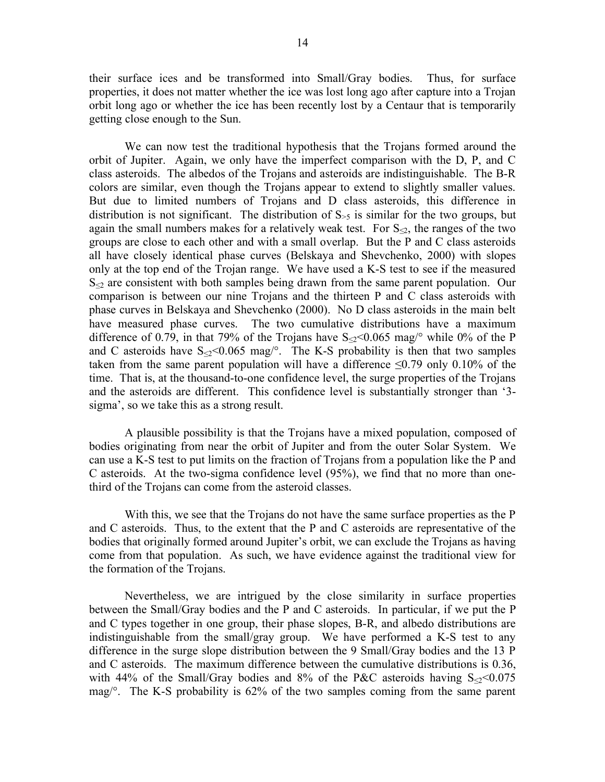their surface ices and be transformed into Small/Gray bodies. Thus, for surface properties, it does not matter whether the ice was lost long ago after capture into a Trojan orbit long ago or whether the ice has been recently lost by a Centaur that is temporarily getting close enough to the Sun.

We can now test the traditional hypothesis that the Trojans formed around the orbit of Jupiter. Again, we only have the imperfect comparison with the D, P, and C class asteroids. The albedos of the Trojans and asteroids are indistinguishable. The B-R colors are similar, even though the Trojans appear to extend to slightly smaller values. But due to limited numbers of Trojans and D class asteroids, this difference in distribution is not significant. The distribution of  $S_{>5}$  is similar for the two groups, but again the small numbers makes for a relatively weak test. For  $S_{\leq 2}$ , the ranges of the two groups are close to each other and with a small overlap. But the P and C class asteroids all have closely identical phase curves (Belskaya and Shevchenko, 2000) with slopes only at the top end of the Trojan range. We have used a K-S test to see if the measured  $S_{\leq 2}$  are consistent with both samples being drawn from the same parent population. Our comparison is between our nine Trojans and the thirteen P and C class asteroids with phase curves in Belskaya and Shevchenko (2000). No D class asteroids in the main belt have measured phase curves. The two cumulative distributions have a maximum difference of 0.79, in that 79% of the Trojans have  $S_{\leq 2}$  < 0.065 mag/° while 0% of the P and C asteroids have  $S_{\leq 2}$ <0.065 mag/°. The K-S probability is then that two samples taken from the same parent population will have a difference  $\leq 0.79$  only 0.10% of the time. That is, at the thousand-to-one confidence level, the surge properties of the Trojans and the asteroids are different. This confidence level is substantially stronger than '3 sigma', so we take this as a strong result.

A plausible possibility is that the Trojans have a mixed population, composed of bodies originating from near the orbit of Jupiter and from the outer Solar System. We can use a K-S test to put limits on the fraction of Trojans from a population like the P and C asteroids. At the two-sigma confidence level (95%), we find that no more than onethird of the Trojans can come from the asteroid classes.

With this, we see that the Trojans do not have the same surface properties as the P and C asteroids. Thus, to the extent that the P and C asteroids are representative of the bodies that originally formed around Jupiter's orbit, we can exclude the Trojans as having come from that population. As such, we have evidence against the traditional view for the formation of the Trojans.

Nevertheless, we are intrigued by the close similarity in surface properties between the Small/Gray bodies and the P and C asteroids. In particular, if we put the P and C types together in one group, their phase slopes, B-R, and albedo distributions are indistinguishable from the small/gray group. We have performed a K-S test to any difference in the surge slope distribution between the 9 Small/Gray bodies and the 13 P and C asteroids. The maximum difference between the cumulative distributions is 0.36, with 44% of the Small/Gray bodies and 8% of the P&C asteroids having  $S_{\leq 2}$ <0.075 mag/°. The K-S probability is 62% of the two samples coming from the same parent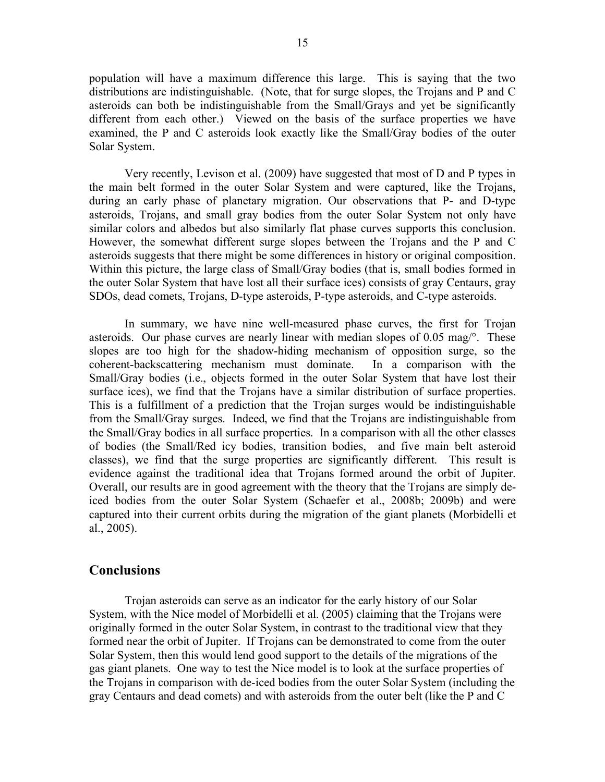population will have a maximum difference this large. This is saying that the two distributions are indistinguishable. (Note, that for surge slopes, the Trojans and P and C asteroids can both be indistinguishable from the Small/Grays and yet be significantly different from each other.) Viewed on the basis of the surface properties we have examined, the P and C asteroids look exactly like the Small/Gray bodies of the outer Solar System.

Very recently, Levison et al. (2009) have suggested that most of D and P types in the main belt formed in the outer Solar System and were captured, like the Trojans, during an early phase of planetary migration. Our observations that P- and D-type asteroids, Trojans, and small gray bodies from the outer Solar System not only have similar colors and albedos but also similarly flat phase curves supports this conclusion. However, the somewhat different surge slopes between the Trojans and the P and C asteroids suggests that there might be some differences in history or original composition. Within this picture, the large class of Small/Gray bodies (that is, small bodies formed in the outer Solar System that have lost all their surface ices) consists of gray Centaurs, gray SDOs, dead comets, Trojans, D-type asteroids, P-type asteroids, and C-type asteroids.

In summary, we have nine well-measured phase curves, the first for Trojan asteroids. Our phase curves are nearly linear with median slopes of 0.05 mag/°. These slopes are too high for the shadow-hiding mechanism of opposition surge, so the coherent-backscattering mechanism must dominate. In a comparison with the Small/Gray bodies (i.e., objects formed in the outer Solar System that have lost their surface ices), we find that the Trojans have a similar distribution of surface properties. This is a fulfillment of a prediction that the Trojan surges would be indistinguishable from the Small/Gray surges. Indeed, we find that the Trojans are indistinguishable from the Small/Gray bodies in all surface properties. In a comparison with all the other classes of bodies (the Small/Red icy bodies, transition bodies, and five main belt asteroid classes), we find that the surge properties are significantly different. This result is evidence against the traditional idea that Trojans formed around the orbit of Jupiter. Overall, our results are in good agreement with the theory that the Trojans are simply deiced bodies from the outer Solar System (Schaefer et al., 2008b; 2009b) and were captured into their current orbits during the migration of the giant planets (Morbidelli et al., 2005).

## **Conclusions**

Trojan asteroids can serve as an indicator for the early history of our Solar System, with the Nice model of Morbidelli et al. (2005) claiming that the Trojans were originally formed in the outer Solar System, in contrast to the traditional view that they formed near the orbit of Jupiter. If Trojans can be demonstrated to come from the outer Solar System, then this would lend good support to the details of the migrations of the gas giant planets. One way to test the Nice model is to look at the surface properties of the Trojans in comparison with de-iced bodies from the outer Solar System (including the gray Centaurs and dead comets) and with asteroids from the outer belt (like the P and C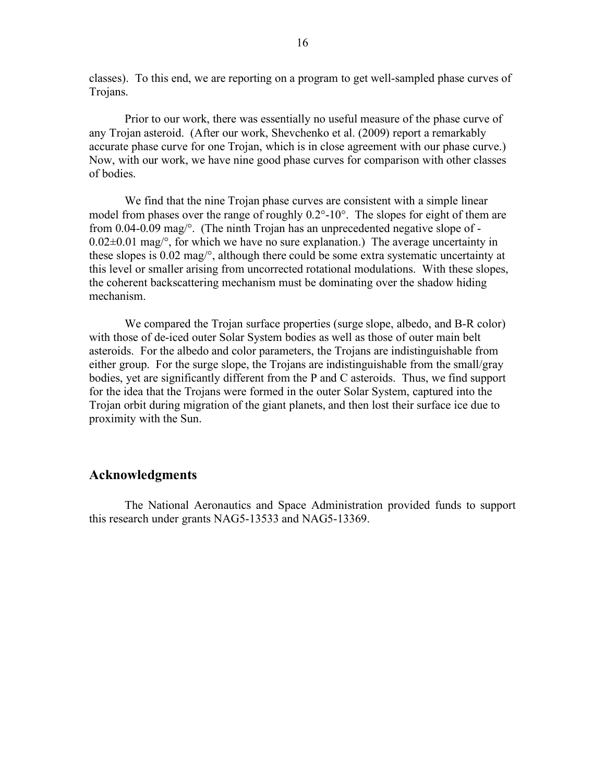classes). To this end, we are reporting on a program to get well-sampled phase curves of Trojans.

Prior to our work, there was essentially no useful measure of the phase curve of any Trojan asteroid. (After our work, Shevchenko et al. (2009) report a remarkably accurate phase curve for one Trojan, which is in close agreement with our phase curve.) Now, with our work, we have nine good phase curves for comparison with other classes of bodies.

We find that the nine Trojan phase curves are consistent with a simple linear model from phases over the range of roughly 0.2°-10°. The slopes for eight of them are from 0.04-0.09 mag/°. (The ninth Trojan has an unprecedented negative slope of -  $0.02\pm0.01$  mag/<sup>o</sup>, for which we have no sure explanation.) The average uncertainty in these slopes is 0.02 mag/°, although there could be some extra systematic uncertainty at this level or smaller arising from uncorrected rotational modulations. With these slopes, the coherent backscattering mechanism must be dominating over the shadow hiding mechanism.

We compared the Trojan surface properties (surge slope, albedo, and B-R color) with those of de-iced outer Solar System bodies as well as those of outer main belt asteroids. For the albedo and color parameters, the Trojans are indistinguishable from either group. For the surge slope, the Trojans are indistinguishable from the small/gray bodies, yet are significantly different from the P and C asteroids. Thus, we find support for the idea that the Trojans were formed in the outer Solar System, captured into the Trojan orbit during migration of the giant planets, and then lost their surface ice due to proximity with the Sun.

## **Acknowledgments**

The National Aeronautics and Space Administration provided funds to support this research under grants NAG5-13533 and NAG5-13369.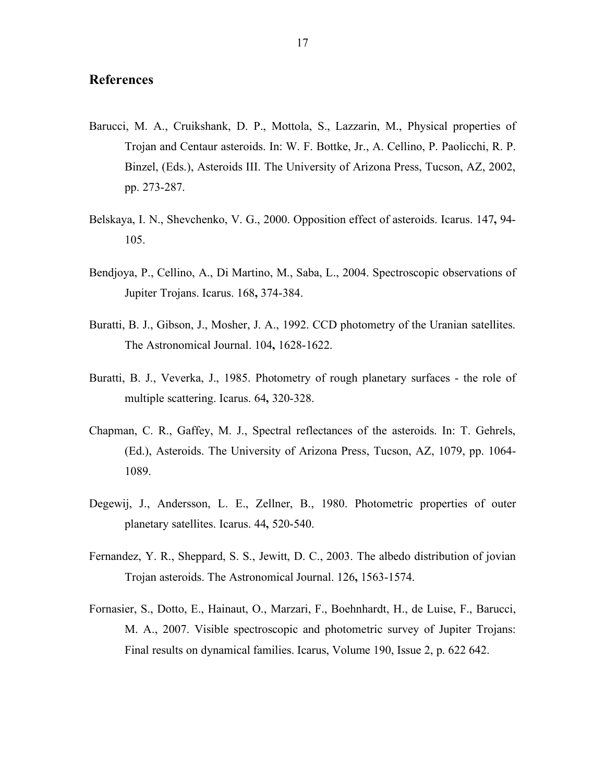## **References**

- Barucci, M. A., Cruikshank, D. P., Mottola, S., Lazzarin, M., Physical properties of Trojan and Centaur asteroids. In: W. F. Bottke, Jr., A. Cellino, P. Paolicchi, R. P. Binzel, (Eds.), Asteroids III. The University of Arizona Press, Tucson, AZ, 2002, pp. 273-287.
- Belskaya, I. N., Shevchenko, V. G., 2000. Opposition effect of asteroids. Icarus. 147**,** 94- 105.
- Bendjoya, P., Cellino, A., Di Martino, M., Saba, L., 2004. Spectroscopic observations of Jupiter Trojans. Icarus. 168**,** 374-384.
- Buratti, B. J., Gibson, J., Mosher, J. A., 1992. CCD photometry of the Uranian satellites. The Astronomical Journal. 104**,** 1628-1622.
- Buratti, B. J., Veverka, J., 1985. Photometry of rough planetary surfaces the role of multiple scattering. Icarus. 64**,** 320-328.
- Chapman, C. R., Gaffey, M. J., Spectral reflectances of the asteroids. In: T. Gehrels, (Ed.), Asteroids. The University of Arizona Press, Tucson, AZ, 1079, pp. 1064- 1089.
- Degewij, J., Andersson, L. E., Zellner, B., 1980. Photometric properties of outer planetary satellites. Icarus. 44**,** 520-540.
- Fernandez, Y. R., Sheppard, S. S., Jewitt, D. C., 2003. The albedo distribution of jovian Trojan asteroids. The Astronomical Journal. 126**,** 1563-1574.
- Fornasier, S., Dotto, E., Hainaut, O., Marzari, F., Boehnhardt, H., de Luise, F., Barucci, M. A., 2007. Visible spectroscopic and photometric survey of Jupiter Trojans: Final results on dynamical families. Icarus, Volume 190, Issue 2, p. 622 642.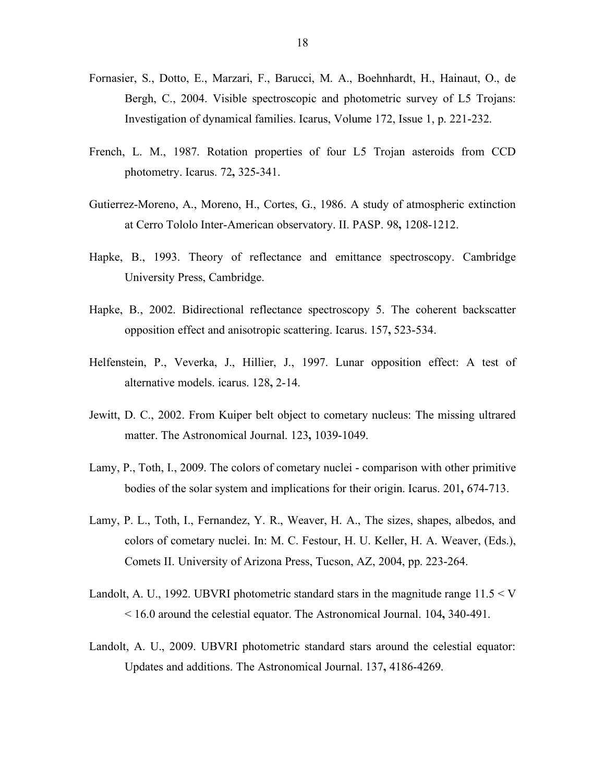- Fornasier, S., Dotto, E., Marzari, F., Barucci, M. A., Boehnhardt, H., Hainaut, O., de Bergh, C., 2004. Visible spectroscopic and photometric survey of L5 Trojans: Investigation of dynamical families. Icarus, Volume 172, Issue 1, p. 221-232.
- French, L. M., 1987. Rotation properties of four L5 Trojan asteroids from CCD photometry. Icarus. 72**,** 325-341.
- Gutierrez-Moreno, A., Moreno, H., Cortes, G., 1986. A study of atmospheric extinction at Cerro Tololo Inter-American observatory. II. PASP. 98**,** 1208-1212.
- Hapke, B., 1993. Theory of reflectance and emittance spectroscopy. Cambridge University Press, Cambridge.
- Hapke, B., 2002. Bidirectional reflectance spectroscopy 5. The coherent backscatter opposition effect and anisotropic scattering. Icarus. 157**,** 523-534.
- Helfenstein, P., Veverka, J., Hillier, J., 1997. Lunar opposition effect: A test of alternative models. icarus. 128**,** 2-14.
- Jewitt, D. C., 2002. From Kuiper belt object to cometary nucleus: The missing ultrared matter. The Astronomical Journal. 123**,** 1039-1049.
- Lamy, P., Toth, I., 2009. The colors of cometary nuclei comparison with other primitive bodies of the solar system and implications for their origin. Icarus. 201**,** 674-713.
- Lamy, P. L., Toth, I., Fernandez, Y. R., Weaver, H. A., The sizes, shapes, albedos, and colors of cometary nuclei. In: M. C. Festour, H. U. Keller, H. A. Weaver, (Eds.), Comets II. University of Arizona Press, Tucson, AZ, 2004, pp. 223-264.
- Landolt, A. U., 1992. UBVRI photometric standard stars in the magnitude range  $11.5 \leq V$ < 16.0 around the celestial equator. The Astronomical Journal. 104**,** 340-491.
- Landolt, A. U., 2009. UBVRI photometric standard stars around the celestial equator: Updates and additions. The Astronomical Journal. 137**,** 4186-4269.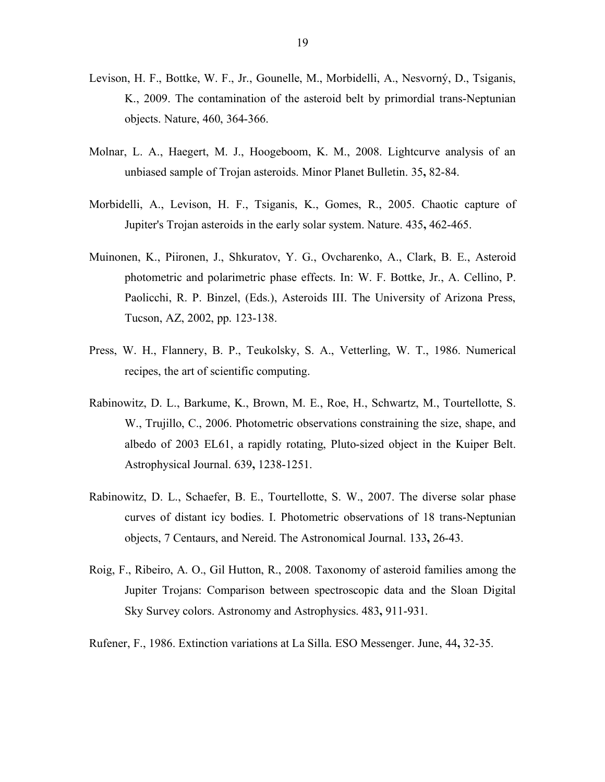- Levison, H. F., Bottke, W. F., Jr., Gounelle, M., Morbidelli, A., Nesvorný, D., Tsiganis, K., 2009. The contamination of the asteroid belt by primordial trans-Neptunian objects. Nature, 460, 364-366.
- Molnar, L. A., Haegert, M. J., Hoogeboom, K. M., 2008. Lightcurve analysis of an unbiased sample of Trojan asteroids. Minor Planet Bulletin. 35**,** 82-84.
- Morbidelli, A., Levison, H. F., Tsiganis, K., Gomes, R., 2005. Chaotic capture of Jupiter's Trojan asteroids in the early solar system. Nature. 435**,** 462-465.
- Muinonen, K., Piironen, J., Shkuratov, Y. G., Ovcharenko, A., Clark, B. E., Asteroid photometric and polarimetric phase effects. In: W. F. Bottke, Jr., A. Cellino, P. Paolicchi, R. P. Binzel, (Eds.), Asteroids III. The University of Arizona Press, Tucson, AZ, 2002, pp. 123-138.
- Press, W. H., Flannery, B. P., Teukolsky, S. A., Vetterling, W. T., 1986. Numerical recipes, the art of scientific computing.
- Rabinowitz, D. L., Barkume, K., Brown, M. E., Roe, H., Schwartz, M., Tourtellotte, S. W., Trujillo, C., 2006. Photometric observations constraining the size, shape, and albedo of 2003 EL61, a rapidly rotating, Pluto-sized object in the Kuiper Belt. Astrophysical Journal. 639**,** 1238-1251.
- Rabinowitz, D. L., Schaefer, B. E., Tourtellotte, S. W., 2007. The diverse solar phase curves of distant icy bodies. I. Photometric observations of 18 trans-Neptunian objects, 7 Centaurs, and Nereid. The Astronomical Journal. 133**,** 26-43.
- Roig, F., Ribeiro, A. O., Gil Hutton, R., 2008. Taxonomy of asteroid families among the Jupiter Trojans: Comparison between spectroscopic data and the Sloan Digital Sky Survey colors. Astronomy and Astrophysics. 483**,** 911-931.
- Rufener, F., 1986. Extinction variations at La Silla. ESO Messenger. June, 44**,** 32-35.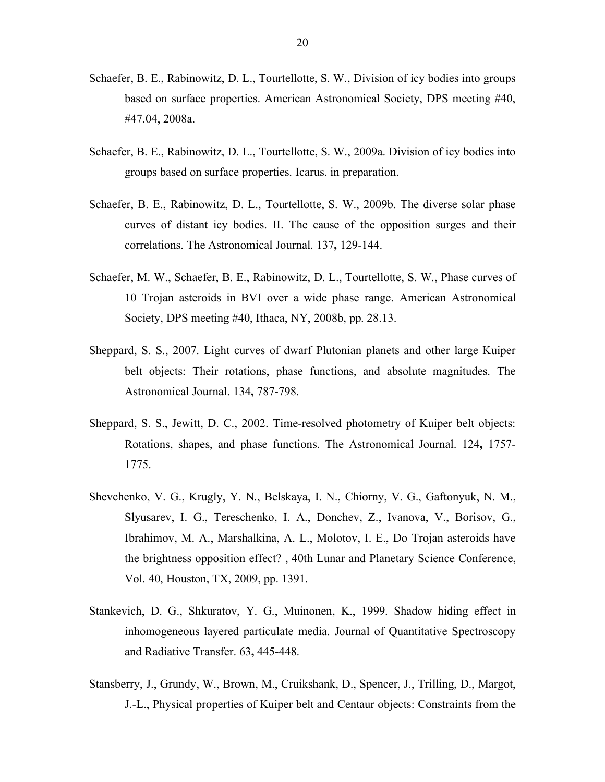- Schaefer, B. E., Rabinowitz, D. L., Tourtellotte, S. W., Division of icy bodies into groups based on surface properties. American Astronomical Society, DPS meeting #40, #47.04, 2008a.
- Schaefer, B. E., Rabinowitz, D. L., Tourtellotte, S. W., 2009a. Division of icy bodies into groups based on surface properties. Icarus. in preparation.
- Schaefer, B. E., Rabinowitz, D. L., Tourtellotte, S. W., 2009b. The diverse solar phase curves of distant icy bodies. II. The cause of the opposition surges and their correlations. The Astronomical Journal. 137**,** 129-144.
- Schaefer, M. W., Schaefer, B. E., Rabinowitz, D. L., Tourtellotte, S. W., Phase curves of 10 Trojan asteroids in BVI over a wide phase range. American Astronomical Society, DPS meeting #40, Ithaca, NY, 2008b, pp. 28.13.
- Sheppard, S. S., 2007. Light curves of dwarf Plutonian planets and other large Kuiper belt objects: Their rotations, phase functions, and absolute magnitudes. The Astronomical Journal. 134**,** 787-798.
- Sheppard, S. S., Jewitt, D. C., 2002. Time-resolved photometry of Kuiper belt objects: Rotations, shapes, and phase functions. The Astronomical Journal. 124**,** 1757- 1775.
- Shevchenko, V. G., Krugly, Y. N., Belskaya, I. N., Chiorny, V. G., Gaftonyuk, N. M., Slyusarev, I. G., Tereschenko, I. A., Donchev, Z., Ivanova, V., Borisov, G., Ibrahimov, M. A., Marshalkina, A. L., Molotov, I. E., Do Trojan asteroids have the brightness opposition effect? , 40th Lunar and Planetary Science Conference, Vol. 40, Houston, TX, 2009, pp. 1391.
- Stankevich, D. G., Shkuratov, Y. G., Muinonen, K., 1999. Shadow hiding effect in inhomogeneous layered particulate media. Journal of Quantitative Spectroscopy and Radiative Transfer. 63**,** 445-448.
- Stansberry, J., Grundy, W., Brown, M., Cruikshank, D., Spencer, J., Trilling, D., Margot, J.-L., Physical properties of Kuiper belt and Centaur objects: Constraints from the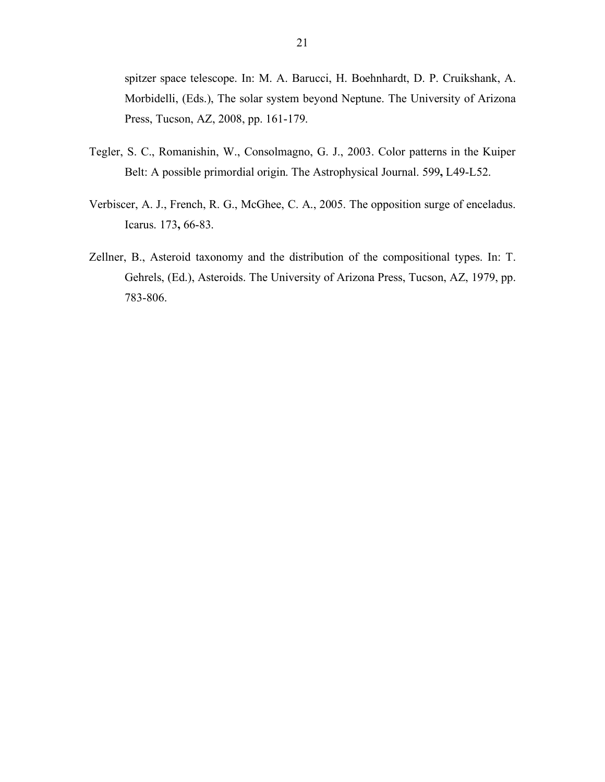spitzer space telescope. In: M. A. Barucci, H. Boehnhardt, D. P. Cruikshank, A. Morbidelli, (Eds.), The solar system beyond Neptune. The University of Arizona Press, Tucson, AZ, 2008, pp. 161-179.

- Tegler, S. C., Romanishin, W., Consolmagno, G. J., 2003. Color patterns in the Kuiper Belt: A possible primordial origin. The Astrophysical Journal. 599**,** L49-L52.
- Verbiscer, A. J., French, R. G., McGhee, C. A., 2005. The opposition surge of enceladus. Icarus. 173**,** 66-83.
- Zellner, B., Asteroid taxonomy and the distribution of the compositional types. In: T. Gehrels, (Ed.), Asteroids. The University of Arizona Press, Tucson, AZ, 1979, pp. 783-806.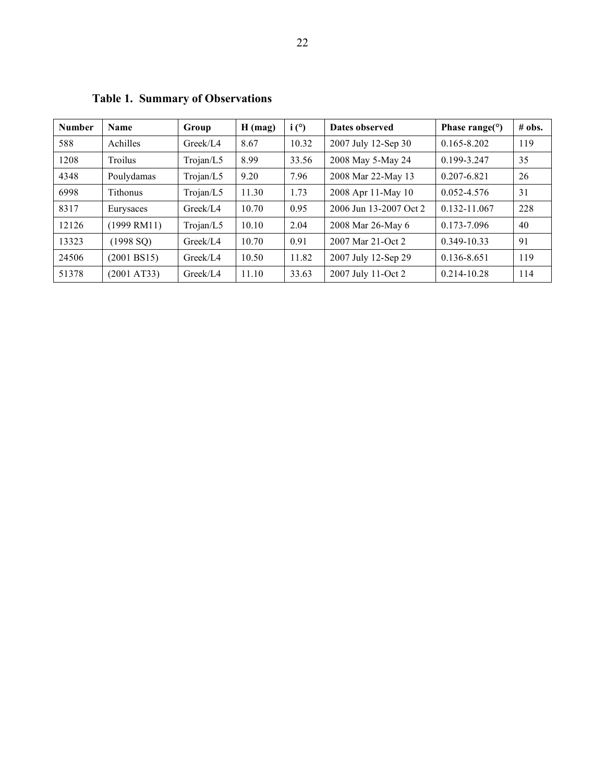|--|

| <b>Number</b> | Name                  | Group               | $H$ (mag) | i(°)  | Dates observed         | Phase range( $\circ$ ) | $#$ obs. |
|---------------|-----------------------|---------------------|-----------|-------|------------------------|------------------------|----------|
| 588           | Achilles              | $Greek/I$ $\cal{A}$ | 8.67      | 10.32 | 2007 July 12-Sep 30    | $0.165 - 8.202$        | 119      |
| 1208          | <b>Troilus</b>        | Trojan/L5           | 8.99      | 33.56 | 2008 May 5-May 24      | 0.199-3.247            | 35       |
| 4348          | Poulydamas            | Trojan/L5           | 9.20      | 7.96  | 2008 Mar 22-May 13     | $0.207 - 6.821$        | 26       |
| 6998          | <b>Tithonus</b>       | Trojan/L5           | 11.30     | 1.73  | 2008 Apr 11-May 10     | $0.052 - 4.576$        | 31       |
| 8317          | Eurysaces             | Greek/IA            | 10.70     | 0.95  | 2006 Jun 13-2007 Oct 2 | 0.132-11.067           | 228      |
| 12126         | $(1999 \text{ RM}11)$ | Trojan/L5           | 10.10     | 2.04  | 2008 Mar 26-May 6      | 0.173-7.096            | 40       |
| 13323         | (1998 SQ)             | Greek/IA            | 10.70     | 0.91  | 2007 Mar 21-Oct 2      | 0.349-10.33            | 91       |
| 24506         | (2001 B S15)          | Greek/IA            | 10.50     | 11.82 | 2007 July 12-Sep 29    | 0.136-8.651            | 119      |
| 51378         | (2001 AT33)           | Greek/IA            | 11.10     | 33.63 | 2007 July 11-Oct 2     | $0.214 - 10.28$        | 114      |

**Table 1. Summary of Observations**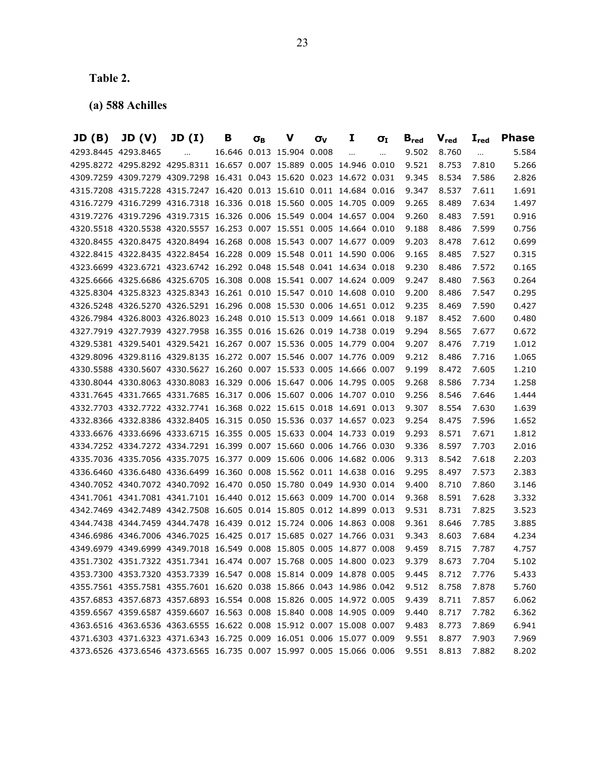# **Table 2.**

**(a) 588 Achilles**

| JD (B) | JD (V)              | JD(1)                                                                | В | $\sigma_{\rm B}$ | V                         | $\sigma_v$ | I        | $\sigma_{\rm I}$ | $B_{red}$ | $V_{\text{red}}$ | $I_{\rm red}$ | <b>Phase</b> |
|--------|---------------------|----------------------------------------------------------------------|---|------------------|---------------------------|------------|----------|------------------|-----------|------------------|---------------|--------------|
|        | 4293.8445 4293.8465 | $\cdots$                                                             |   |                  | 16.646 0.013 15.904 0.008 |            | $\cdots$ | $\cdots$         | 9.502     | 8.760            | $\cdots$      | 5.584        |
|        |                     | 4295.8272 4295.8292 4295.8311 16.657 0.007 15.889 0.005 14.946 0.010 |   |                  |                           |            |          |                  | 9.521     | 8.753            | 7.810         | 5.266        |
|        |                     | 4309.7259 4309.7279 4309.7298 16.431 0.043 15.620 0.023 14.672 0.031 |   |                  |                           |            |          |                  | 9.345     | 8.534            | 7.586         | 2.826        |
|        |                     | 4315.7208 4315.7228 4315.7247 16.420 0.013 15.610 0.011 14.684 0.016 |   |                  |                           |            |          |                  | 9.347     | 8.537            | 7.611         | 1.691        |
|        |                     | 4316.7279 4316.7299 4316.7318 16.336 0.018 15.560 0.005 14.705 0.009 |   |                  |                           |            |          |                  | 9.265     | 8.489            | 7.634         | 1.497        |
|        |                     | 4319.7276 4319.7296 4319.7315 16.326 0.006 15.549 0.004 14.657 0.004 |   |                  |                           |            |          |                  | 9.260     | 8.483            | 7.591         | 0.916        |
|        |                     | 4320.5518 4320.5538 4320.5557 16.253 0.007 15.551 0.005 14.664 0.010 |   |                  |                           |            |          |                  | 9.188     | 8.486            | 7.599         | 0.756        |
|        |                     | 4320.8455 4320.8475 4320.8494 16.268 0.008 15.543 0.007 14.677 0.009 |   |                  |                           |            |          |                  | 9.203     | 8.478            | 7.612         | 0.699        |
|        |                     | 4322.8415 4322.8435 4322.8454 16.228 0.009 15.548 0.011 14.590 0.006 |   |                  |                           |            |          |                  | 9.165     | 8.485            | 7.527         | 0.315        |
|        |                     | 4323.6699 4323.6721 4323.6742 16.292 0.048 15.548 0.041 14.634 0.018 |   |                  |                           |            |          |                  | 9.230     | 8.486            | 7.572         | 0.165        |
|        |                     | 4325.6666 4325.6686 4325.6705 16.308 0.008 15.541 0.007 14.624 0.009 |   |                  |                           |            |          |                  | 9.247     | 8.480            | 7.563         | 0.264        |
|        |                     | 4325.8304 4325.8323 4325.8343 16.261 0.010 15.547 0.010 14.608 0.010 |   |                  |                           |            |          |                  | 9.200     | 8.486            | 7.547         | 0.295        |
|        |                     | 4326.5248 4326.5270 4326.5291 16.296 0.008 15.530 0.006 14.651 0.012 |   |                  |                           |            |          |                  | 9.235     | 8.469            | 7.590         | 0.427        |
|        |                     | 4326.7984 4326.8003 4326.8023 16.248 0.010 15.513 0.009 14.661 0.018 |   |                  |                           |            |          |                  | 9.187     | 8.452            | 7.600         | 0.480        |
|        |                     | 4327.7919 4327.7939 4327.7958 16.355 0.016 15.626 0.019 14.738 0.019 |   |                  |                           |            |          |                  | 9.294     | 8.565            | 7.677         | 0.672        |
|        |                     | 4329.5381 4329.5401 4329.5421 16.267 0.007 15.536 0.005 14.779 0.004 |   |                  |                           |            |          |                  | 9.207     | 8.476            | 7.719         | 1.012        |
|        |                     | 4329.8096 4329.8116 4329.8135 16.272 0.007 15.546 0.007 14.776 0.009 |   |                  |                           |            |          |                  | 9.212     | 8.486            | 7.716         | 1.065        |
|        |                     | 4330.5588 4330.5607 4330.5627 16.260 0.007 15.533 0.005 14.666 0.007 |   |                  |                           |            |          |                  | 9.199     | 8.472            | 7.605         | 1.210        |
|        |                     | 4330.8044 4330.8063 4330.8083 16.329 0.006 15.647 0.006 14.795 0.005 |   |                  |                           |            |          |                  | 9.268     | 8.586            | 7.734         | 1.258        |
|        |                     | 4331.7645 4331.7665 4331.7685 16.317 0.006 15.607 0.006 14.707 0.010 |   |                  |                           |            |          |                  | 9.256     | 8.546            | 7.646         | 1.444        |
|        |                     | 4332.7703 4332.7722 4332.7741 16.368 0.022 15.615 0.018 14.691 0.013 |   |                  |                           |            |          |                  | 9.307     | 8.554            | 7.630         | 1.639        |
|        |                     | 4332.8366 4332.8386 4332.8405 16.315 0.050 15.536 0.037 14.657 0.023 |   |                  |                           |            |          |                  | 9.254     | 8.475            | 7.596         | 1.652        |
|        |                     | 4333.6676 4333.6696 4333.6715 16.355 0.005 15.633 0.004 14.733 0.019 |   |                  |                           |            |          |                  | 9.293     | 8.571            | 7.671         | 1.812        |
|        |                     | 4334.7252 4334.7272 4334.7291 16.399 0.007 15.660 0.006 14.766 0.030 |   |                  |                           |            |          |                  | 9.336     | 8.597            | 7.703         | 2.016        |
|        |                     | 4335.7036 4335.7056 4335.7075 16.377 0.009 15.606 0.006 14.682 0.006 |   |                  |                           |            |          |                  | 9.313     | 8.542            | 7.618         | 2.203        |
|        |                     | 4336.6460 4336.6480 4336.6499 16.360 0.008 15.562 0.011 14.638 0.016 |   |                  |                           |            |          |                  | 9.295     | 8.497            | 7.573         | 2.383        |
|        |                     | 4340.7052 4340.7072 4340.7092 16.470 0.050 15.780 0.049 14.930 0.014 |   |                  |                           |            |          |                  | 9.400     | 8.710            | 7.860         | 3.146        |
|        |                     | 4341.7061 4341.7081 4341.7101 16.440 0.012 15.663 0.009 14.700 0.014 |   |                  |                           |            |          |                  | 9.368     | 8.591            | 7.628         | 3.332        |
|        |                     | 4342.7469 4342.7489 4342.7508 16.605 0.014 15.805 0.012 14.899 0.013 |   |                  |                           |            |          |                  | 9.531     | 8.731            | 7.825         | 3.523        |
|        |                     | 4344.7438 4344.7459 4344.7478 16.439 0.012 15.724 0.006 14.863 0.008 |   |                  |                           |            |          |                  | 9.361     | 8.646            | 7.785         | 3.885        |
|        |                     | 4346.6986 4346.7006 4346.7025 16.425 0.017 15.685 0.027 14.766 0.031 |   |                  |                           |            |          |                  | 9.343     | 8.603            | 7.684         | 4.234        |
|        |                     | 4349.6979 4349.6999 4349.7018 16.549 0.008 15.805 0.005 14.877 0.008 |   |                  |                           |            |          |                  | 9.459     | 8.715            | 7.787         | 4.757        |
|        |                     | 4351.7302 4351.7322 4351.7341 16.474 0.007 15.768 0.005 14.800 0.023 |   |                  |                           |            |          |                  | 9.379     | 8.673            | 7.704         | 5.102        |
|        |                     | 4353.7300 4353.7320 4353.7339 16.547 0.008 15.814 0.009 14.878 0.005 |   |                  |                           |            |          |                  | 9.445     | 8.712            | 7.776         | 5.433        |
|        |                     | 4355.7561 4355.7581 4355.7601 16.620 0.038 15.866 0.043 14.986 0.042 |   |                  |                           |            |          |                  | 9.512     | 8.758            | 7.878         | 5.760        |
|        |                     | 4357.6853 4357.6873 4357.6893 16.554 0.008 15.826 0.005 14.972 0.005 |   |                  |                           |            |          |                  | 9.439     | 8.711            | 7.857         | 6.062        |
|        |                     | 4359.6567 4359.6587 4359.6607 16.563 0.008 15.840 0.008 14.905 0.009 |   |                  |                           |            |          |                  | 9.440     | 8.717            | 7.782         | 6.362        |
|        |                     | 4363.6516 4363.6536 4363.6555 16.622 0.008 15.912 0.007 15.008 0.007 |   |                  |                           |            |          |                  | 9.483     | 8.773            | 7.869         | 6.941        |
|        |                     | 4371.6303 4371.6323 4371.6343 16.725 0.009 16.051 0.006 15.077 0.009 |   |                  |                           |            |          |                  | 9.551     | 8.877            | 7.903         | 7.969        |
|        |                     | 4373.6526 4373.6546 4373.6565 16.735 0.007 15.997 0.005 15.066 0.006 |   |                  |                           |            |          |                  | 9.551     | 8.813            | 7.882         | 8.202        |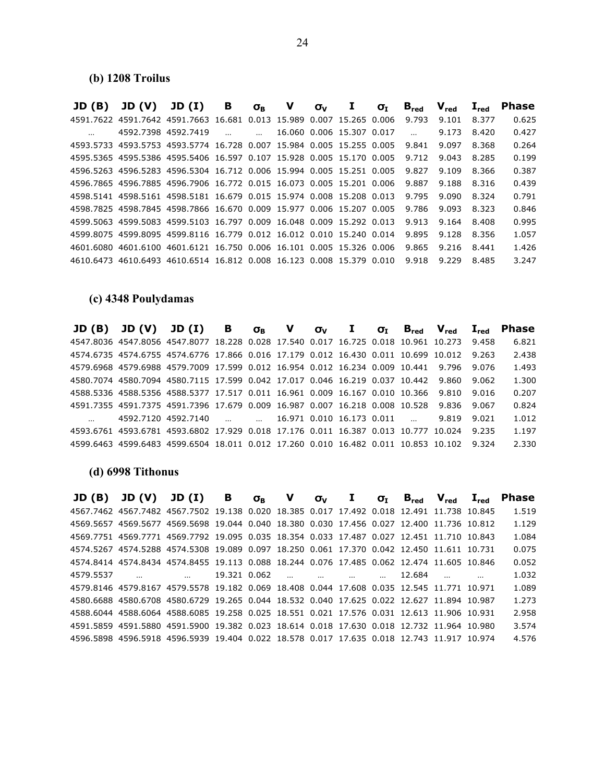### **(b) 1208 Troilus**

| JD(B) | JD (V)                                                               | JD (I)              | в | $\sigma_{\rm R}$ | v | $\sigma_{v}$ |                           | $\sigma_{\text{\tiny T}}$ | $B_{red}$ | $V_{\text{rad}}$ |       | Phase |
|-------|----------------------------------------------------------------------|---------------------|---|------------------|---|--------------|---------------------------|---------------------------|-----------|------------------|-------|-------|
|       | 4591.7622 4591.7642 4591.7663 16.681 0.013 15.989 0.007 15.265 0.006 |                     |   |                  |   |              |                           |                           | 9.793     | 9.101            | 8.377 | 0.625 |
|       |                                                                      | 4592.7398 4592.7419 |   |                  |   |              | 16.060 0.006 15.307 0.017 |                           |           | 9.173            | 8.420 | 0.427 |
|       | 4593.5733 4593.5753 4593.5774 16.728 0.007 15.984 0.005 15.255 0.005 |                     |   |                  |   |              |                           |                           | 9.841     | 9.097            | 8.368 | 0.264 |
|       | 4595.5365 4595.5386 4595.5406 16.597 0.107 15.928 0.005 15.170 0.005 |                     |   |                  |   |              |                           |                           | 9.712     | 9.043            | 8.285 | 0.199 |
|       | 4596.5263 4596.5283 4596.5304 16.712 0.006 15.994 0.005 15.251 0.005 |                     |   |                  |   |              |                           |                           | 9.827     | 9.109            | 8.366 | 0.387 |
|       | 4596.7865 4596.7885 4596.7906 16.772 0.015 16.073 0.005 15.201 0.006 |                     |   |                  |   |              |                           |                           | 9.887     | 9.188            | 8.316 | 0.439 |
|       | 4598.5141 4598.5161 4598.5181 16.679 0.015 15.974 0.008 15.208 0.013 |                     |   |                  |   |              |                           |                           | 9.795     | 9.090            | 8.324 | 0.791 |
|       | 4598.7825 4598.7845 4598.7866 16.670 0.009 15.977 0.006 15.207 0.005 |                     |   |                  |   |              |                           |                           | 9.786     | 9.093            | 8.323 | 0.846 |
|       | 4599.5063 4599.5083 4599.5103 16.797 0.009 16.048 0.009 15.292 0.013 |                     |   |                  |   |              |                           |                           | 9.913     | 9.164            | 8.408 | 0.995 |
|       | 4599.8075 4599.8095 4599.8116 16.779 0.012 16.012 0.010 15.240 0.014 |                     |   |                  |   |              |                           |                           | 9.895     | 9.128            | 8.356 | 1.057 |
|       | 4601.6080 4601.6100 4601.6121 16.750 0.006 16.101 0.005 15.326 0.006 |                     |   |                  |   |              |                           |                           | 9.865     | 9.216            | 8.441 | 1.426 |
|       | 4610.6473 4610.6493 4610.6514 16.812 0.008 16.123 0.008 15.379 0.010 |                     |   |                  |   |              |                           |                           | 9.918     | 9.229            | 8.485 | 3.247 |

#### **(c) 4348 Poulydamas**

**JD (B) JD (V) JD (I) B**  $\sigma_B$  **V**  $\sigma_V$  **I**  $\sigma_I$  **B**<sub>red</sub>  $V_{\text{red}}$  **I**<sub>red</sub> **Phase** 4547.8036 4547.8056 4547.8077 18.228 0.028 17.540 0.017 16.725 0.018 10.961 10.273 9.458 6.821 4574.6735 4574.6755 4574.6776 17.866 0.016 17.179 0.012 16.430 0.011 10.699 10.012 9.263 2.438 4579.6968 4579.6988 4579.7009 17.599 0.012 16.954 0.012 16.234 0.009 10.441 9.796 9.076 1.493 4580.7074 4580.7094 4580.7115 17.599 0.042 17.017 0.046 16.219 0.037 10.442 9.860 9.062 1.300 4588.5336 4588.5356 4588.5377 17.517 0.011 16.961 0.009 16.167 0.010 10.366 9.810 9.016 0.207 4591.7355 4591.7375 4591.7396 17.679 0.009 16.987 0.007 16.218 0.008 10.528 9.836 9.067 0.824 … 4592.7120 4592.7140 … … 16.971 0.010 16.173 0.011 … 9.819 9.021 1.012 4593.6761 4593.6781 4593.6802 17.929 0.018 17.176 0.011 16.387 0.013 10.777 10.024 9.235 1.197 4599.6463 4599.6483 4599.6504 18.011 0.012 17.260 0.010 16.482 0.011 10.853 10.102 9.324 2.330

### **(d) 6998 Tithonus**

**JD (B) JD (V) JD (I) B**  $\sigma_B$  **V**  $\sigma_V$  **I**  $\sigma_I$  **B**<sub>red</sub> **V**<sub>red</sub> **I**<sub>red</sub> **Phase** 4567.7462 4567.7482 4567.7502 19.138 0.020 18.385 0.017 17.492 0.018 12.491 11.738 10.845 1.519 4569.5657 4569.5677 4569.5698 19.044 0.040 18.380 0.030 17.456 0.027 12.400 11.736 10.812 1.129 4569.7751 4569.7771 4569.7792 19.095 0.035 18.354 0.033 17.487 0.027 12.451 11.710 10.843 1.084 4574.5267 4574.5288 4574.5308 19.089 0.097 18.250 0.061 17.370 0.042 12.450 11.611 10.731 0.075 4574.8414 4574.8434 4574.8455 19.113 0.088 18.244 0.076 17.485 0.062 12.474 11.605 10.846 0.052 4579.5537 … … 19.321 0.062 … … … … 12.684 … … 1.032 4579.8146 4579.8167 4579.5578 19.182 0.069 18.408 0.044 17.608 0.035 12.545 11.771 10.971 1.089 4580.6688 4580.6708 4580.6729 19.265 0.044 18.532 0.040 17.625 0.022 12.627 11.894 10.987 1.273 4588.6044 4588.6064 4588.6085 19.258 0.025 18.551 0.021 17.576 0.031 12.613 11.906 10.931 2.958 4591.5859 4591.5880 4591.5900 19.382 0.023 18.614 0.018 17.630 0.018 12.732 11.964 10.980 3.574 4596.5898 4596.5918 4596.5939 19.404 0.022 18.578 0.017 17.635 0.018 12.743 11.917 10.974 4.576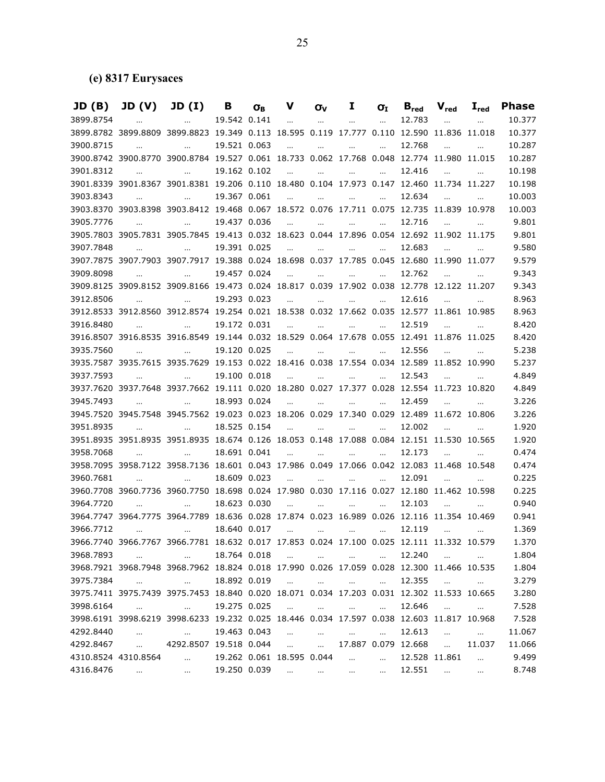# **(e) 8317 Eurysaces**

| JD (B)    |                                | JD $(V)$ JD $(I)$ B                                                                             | $\sigma_{\rm B}$ | <b>V</b>     | $\sigma_{\rm v}$ |  |        | $\mathbf{I}$ $\mathbf{\sigma}_{\mathbf{I}}$ $\mathbf{B}_{\text{red}}$ $\mathbf{V}_{\text{red}}$ | $\mathbf{I}_{\mathsf{red}}$ | <b>Phase</b> |
|-----------|--------------------------------|-------------------------------------------------------------------------------------------------|------------------|--------------|------------------|--|--------|-------------------------------------------------------------------------------------------------|-----------------------------|--------------|
|           |                                | 3899.8754   19.542 0.141                                                                        |                  |              |                  |  |        | $12.783$                                                                                        |                             | 10.377       |
|           |                                | 3899.8782 3899.8809 3899.8823 19.349 0.113 18.595 0.119 17.777 0.110 12.590 11.836 11.018       |                  |              |                  |  |        |                                                                                                 |                             | 10.377       |
| 3900.8715 |                                |                                                                                                 |                  |              |                  |  |        |                                                                                                 |                             | 10.287       |
|           |                                | 3900.8742 3900.8770 3900.8784 19.527 0.061 18.733 0.062 17.768 0.048 12.774 11.980 11.015       |                  |              |                  |  |        |                                                                                                 |                             | 10.287       |
|           |                                |                                                                                                 |                  |              |                  |  |        |                                                                                                 |                             | 10.198       |
|           |                                | 3901.8339 3901.8367 3901.8381 19.206 0.110 18.480 0.104 17.973 0.147 12.460 11.734 11.227       |                  |              |                  |  |        |                                                                                                 |                             | 10.198       |
|           |                                | 3903.8343   19.367 0.061     12.634                                                             |                  |              |                  |  |        |                                                                                                 |                             | 10.003       |
|           |                                | 3903.8370 3903.8398 3903.8412 19.468 0.067 18.572 0.076 17.711 0.075 12.735 11.839 10.978       |                  |              |                  |  |        |                                                                                                 |                             | 10.003       |
|           |                                | 3905.7776   19.437 0.036     12.716   9.801                                                     |                  |              |                  |  |        |                                                                                                 |                             |              |
|           |                                | 3905.7803 3905.7831 3905.7845 19.413 0.032 18.623 0.044 17.896 0.054 12.692 11.902 11.175 9.801 |                  |              |                  |  |        |                                                                                                 |                             |              |
| 3907.7848 |                                |                                                                                                 |                  |              |                  |  |        |                                                                                                 |                             | 9.580        |
|           |                                | 3907.7875 3907.7903 3907.7917 19.388 0.024 18.698 0.037 17.785 0.045 12.680 11.990 11.077       |                  |              |                  |  |        |                                                                                                 |                             | 9.579        |
|           |                                | 3909.8098    19.457 0.024      12.762                                                           |                  |              |                  |  |        |                                                                                                 |                             | 9.343        |
|           |                                | 3909.8125 3909.8152 3909.8166 19.473 0.024 18.817 0.039 17.902 0.038 12.778 12.122 11.207       |                  |              |                  |  |        |                                                                                                 |                             | 9.343        |
|           |                                | 3912.8506   19.293 0.023     12.616                                                             |                  |              |                  |  |        |                                                                                                 |                             | 8.963        |
|           |                                | 3912.8533 3912.8560 3912.8574 19.254 0.021 18.538 0.032 17.662 0.035 12.577 11.861 10.985       |                  |              |                  |  |        |                                                                                                 |                             | 8.963        |
|           |                                | 3916.8480   19.172 0.031     12.519                                                             |                  |              |                  |  |        |                                                                                                 |                             | 8.420        |
|           |                                | 3916.8507 3916.8535 3916.8549 19.144 0.032 18.529 0.064 17.678 0.055 12.491 11.876 11.025       |                  |              |                  |  |        |                                                                                                 |                             | 8.420        |
|           |                                | 3935.7560   19.120 0.025     12.556                                                             |                  |              |                  |  |        |                                                                                                 |                             | 5.238        |
|           |                                | 3935.7587 3935.7615 3935.7629 19.153 0.022 18.416 0.038 17.554 0.034 12.589 11.852 10.990       |                  |              |                  |  |        |                                                                                                 |                             | 5.237        |
|           |                                | 3937.7593   19.100 0.018     12.543                                                             |                  |              |                  |  |        |                                                                                                 |                             | 4.849        |
|           |                                | 3937.7620 3937.7648 3937.7662 19.111 0.020 18.280 0.027 17.377 0.028 12.554 11.723 10.820       |                  |              |                  |  |        |                                                                                                 |                             | 4.849        |
|           |                                | 3945.7493   18.993 0.024     12.459                                                             |                  |              |                  |  |        | $\mathbf{r}$ and $\mathbf{r}$ are the set of $\mathbf{r}$                                       |                             | 3.226        |
|           |                                | 3945.7520 3945.7548 3945.7562 19.023 0.023 18.206 0.029 17.340 0.029 12.489 11.672 10.806       |                  |              |                  |  |        |                                                                                                 |                             | 3.226        |
|           |                                | 3951.8935   18.525 0.154     12.002                                                             |                  |              |                  |  |        |                                                                                                 |                             | 1.920        |
|           |                                | 3951.8935 3951.8935 3951.8935 18.674 0.126 18.053 0.148 17.088 0.084 12.151 11.530 10.565       |                  |              |                  |  |        |                                                                                                 |                             | 1.920        |
|           |                                | 3958.7068   18.691 0.041     12.173                                                             |                  |              |                  |  |        |                                                                                                 |                             | 0.474        |
|           |                                | 3958.7095 3958.7122 3958.7136 18.601 0.043 17.986 0.049 17.066 0.042 12.083 11.468 10.548       |                  |              |                  |  |        |                                                                                                 |                             | 0.474        |
|           |                                | 3960.7681   18.609 0.023     12.091                                                             |                  |              |                  |  |        |                                                                                                 |                             | 0.225        |
|           |                                | 3960.7708 3960.7736 3960.7750 18.698 0.024 17.980 0.030 17.116 0.027 12.180 11.462 10.598       |                  |              |                  |  |        |                                                                                                 |                             | 0.225        |
|           |                                | 3964.7720   18.623 0.030     12.103                                                             |                  |              |                  |  |        |                                                                                                 |                             | 0.940        |
|           |                                | 3964.7747 3964.7775 3964.7789 18.636 0.028 17.874 0.023 16.989 0.026 12.116 11.354 10.469       |                  |              |                  |  |        |                                                                                                 |                             | 0.941        |
|           |                                | 3966.7712   18.640 0.017     12.119                                                             |                  |              |                  |  |        |                                                                                                 |                             | 1.369        |
|           |                                | 3966.7740 3966.7767 3966.7781 18.632 0.017 17.853 0.024 17.100 0.025 12.111 11.332 10.579       |                  |              |                  |  |        |                                                                                                 |                             | 1.370        |
|           |                                | 3968.7893   18.764 0.018     12.240                                                             |                  |              |                  |  |        |                                                                                                 |                             | 1.804        |
|           |                                | 3968.7921 3968.7948 3968.7962 18.824 0.018 17.990 0.026 17.059 0.028 12.300 11.466 10.535       |                  |              |                  |  |        |                                                                                                 |                             | 1.804        |
| 3975.7384 | المستحدث والمستحدث             |                                                                                                 |                  | 18.892 0.019 |                  |  |        | $12.355$                                                                                        |                             | 3.279        |
|           |                                | 3975.7411 3975.7439 3975.7453 18.840 0.020 18.071 0.034 17.203 0.031 12.302 11.533 10.665       |                  |              |                  |  |        |                                                                                                 |                             | 3.280        |
| 3998.6164 | <b><i>Committee States</i></b> | and the control of                                                                              |                  | 19.275 0.025 |                  |  | 12.646 | <b>Contract Contract Contract</b>                                                               | <b>Contract Contract</b>    | 7.528        |
|           |                                | 3998.6191 3998.6219 3998.6233 19.232 0.025 18.446 0.034 17.597 0.038 12.603 11.817 10.968       |                  |              |                  |  |        |                                                                                                 |                             | 7.528        |
|           | 4292.8440                      |                                                                                                 |                  | 19.463 0.043 |                  |  |        | $12.613$                                                                                        |                             | 11.067       |
|           |                                | 4292.8467  4292.8507 19.518 0.044   17.887 0.079 12.668                                         |                  |              |                  |  |        |                                                                                                 | 11.037                      | 11.066       |
|           |                                | 4310.8524 4310.8564  19.262 0.061 18.595 0.044                                                  |                  |              |                  |  |        | 12.528 11.861                                                                                   |                             | 9.499        |
| 4316.8476 |                                | and the contract of the con-                                                                    |                  | 19.250 0.039 |                  |  |        | 12.551                                                                                          | $\mathbf{r}$                | 8.748        |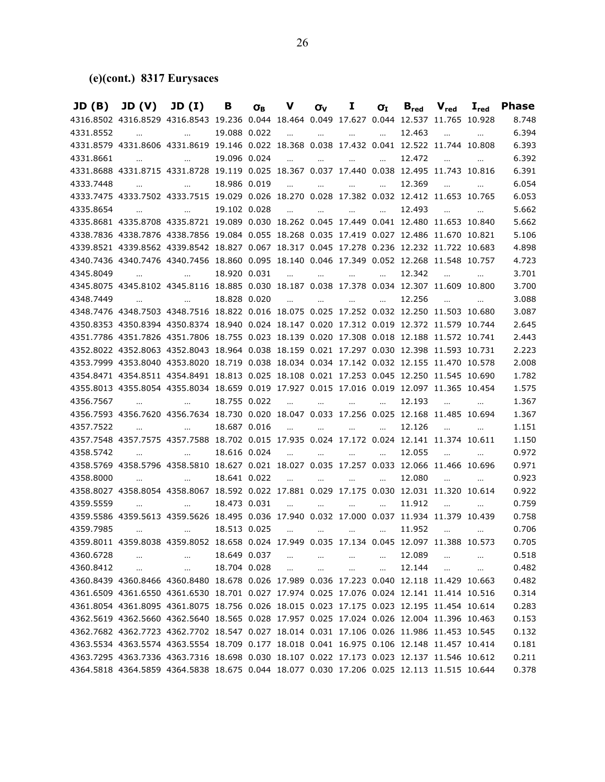# **(e)(cont.) 8317 Eurysaces**

| JD (B)    | JD (V) | JD (I)                                                                                                              | B            | $\sigma_{\rm B}$ | $\mathbf{V}$   | $\sigma_{v}$ | I.                          | $\sigma_{\rm I}$ |        | $B_{red}$ $V_{red}$                   | $\mathbf{I}_{\mathsf{red}}$       | Phase |
|-----------|--------|---------------------------------------------------------------------------------------------------------------------|--------------|------------------|----------------|--------------|-----------------------------|------------------|--------|---------------------------------------|-----------------------------------|-------|
|           |        | 4316.8502 4316.8529 4316.8543 19.236 0.044 18.464 0.049 17.627 0.044 12.537 11.765 10.928                           |              |                  |                |              |                             |                  |        |                                       |                                   | 8.748 |
| 4331.8552 |        | المستحدث المستحدث                                                                                                   |              |                  | 19.088 0.022   |              |                             |                  |        | $12.463$                              |                                   | 6.394 |
|           |        | 4331.8579 4331.8606 4331.8619 19.146 0.022 18.368 0.038 17.432 0.041 12.522 11.744 10.808                           |              |                  |                |              |                             |                  |        |                                       |                                   | 6.393 |
| 4331.8661 |        |                                                                                                                     |              |                  |                |              |                             |                  |        | $12.472$                              |                                   | 6.392 |
|           |        | 4331.8688 4331.8715 4331.8728 19.119 0.025 18.367 0.037 17.440 0.038 12.495 11.743 10.816                           |              |                  |                |              |                             |                  |        |                                       |                                   | 6.391 |
|           |        | 4333.7448   18.986 0.019                                                                                            |              |                  |                |              |                             |                  |        | $12.369$                              |                                   | 6.054 |
|           |        | 4333.7475 4333.7502 4333.7515 19.029 0.026 18.270 0.028 17.382 0.032 12.412 11.653 10.765                           |              |                  |                |              |                             |                  |        |                                       |                                   | 6.053 |
| 4335.8654 |        | <b>Communication</b>                                                                                                | 19.102 0.028 |                  |                |              | المتفارق والمتفارق المتفارق |                  | 12.493 |                                       | and the company of the company of | 5.662 |
|           |        | 4335.8681 4335.8708 4335.8721 19.089 0.030 18.262 0.045 17.449 0.041 12.480 11.653 10.840                           |              |                  |                |              |                             |                  |        |                                       |                                   | 5.662 |
|           |        | 4338.7836 4338.7876 4338.7856 19.084 0.055 18.268 0.035 17.419 0.027 12.486 11.670 10.821                           |              |                  |                |              |                             |                  |        |                                       |                                   | 5.106 |
|           |        | 4339.8521 4339.8562 4339.8542 18.827 0.067 18.317 0.045 17.278 0.236 12.232 11.722 10.683                           |              |                  |                |              |                             |                  |        |                                       |                                   | 4.898 |
|           |        | 4340.7436 4340.7476 4340.7456 18.860 0.095 18.140 0.046 17.349 0.052 12.268 11.548 10.757                           |              |                  |                |              |                             |                  |        |                                       |                                   | 4.723 |
| 4345.8049 |        |                                                                                                                     |              |                  |                |              |                             |                  |        | 12.342                                |                                   | 3.701 |
|           |        | 4345.8075 4345.8102 4345.8116 18.885 0.030 18.187 0.038 17.378 0.034 12.307 11.609 10.800                           |              |                  |                |              |                             |                  |        |                                       |                                   | 3.700 |
|           |        | 4348.7449   18.828 0.020                                                                                            |              |                  |                |              |                             |                  | 12.256 | and the company of the company        |                                   | 3.088 |
|           |        | 4348.7476 4348.7503 4348.7516 18.822 0.016 18.075 0.025 17.252 0.032 12.250 11.503 10.680                           |              |                  |                |              |                             |                  |        |                                       |                                   | 3.087 |
|           |        | 4350.8353 4350.8394 4350.8374 18.940 0.024 18.147 0.020 17.312 0.019 12.372 11.579 10.744                           |              |                  |                |              |                             |                  |        |                                       |                                   | 2.645 |
|           |        | 4351.7786 4351.7826 4351.7806 18.755 0.023 18.139 0.020 17.308 0.018 12.188 11.572 10.741                           |              |                  |                |              |                             |                  |        |                                       |                                   | 2.443 |
|           |        | 4352.8022 4352.8063 4352.8043 18.964 0.038 18.159 0.021 17.297 0.030 12.398 11.593 10.731                           |              |                  |                |              |                             |                  |        |                                       |                                   | 2.223 |
|           |        | 4353.7999 4353.8040 4353.8020 18.719 0.038 18.034 0.034 17.142 0.032 12.155 11.470 10.578                           |              |                  |                |              |                             |                  |        |                                       |                                   | 2.008 |
|           |        | 4354.8471 4354.8511 4354.8491 18.813 0.025 18.108 0.021 17.253 0.045 12.250 11.545 10.690                           |              |                  |                |              |                             |                  |        |                                       |                                   | 1.782 |
|           |        | 4355.8013 4355.8054 4355.8034 18.659 0.019 17.927 0.015 17.016 0.019 12.097 11.365 10.454                           |              |                  |                |              |                             |                  |        |                                       |                                   | 1.575 |
| 4356.7567 |        | and the contract of the contract of the contract of the contract of the contract of the contract of the contract of |              |                  | $18.755$ 0.022 |              |                             |                  | 12.193 | and the company of the company of the |                                   | 1.367 |
|           |        | 4356.7593 4356.7620 4356.7634 18.730 0.020 18.047 0.033 17.256 0.025 12.168 11.485 10.694                           |              |                  |                |              |                             |                  |        |                                       |                                   | 1.367 |
| 4357.7522 |        |                                                                                                                     |              |                  |                |              |                             |                  |        |                                       |                                   | 1.151 |
|           |        | 4357.7548 4357.7575 4357.7588 18.702 0.015 17.935 0.024 17.172 0.024 12.141 11.374 10.611                           |              |                  |                |              |                             |                  |        |                                       |                                   | 1.150 |
| 4358.5742 |        | and the company of the company of the                                                                               |              |                  | 18.616 0.024   |              |                             |                  |        | $12.055$                              |                                   | 0.972 |
|           |        | 4358.5769 4358.5796 4358.5810 18.627 0.021 18.027 0.035 17.257 0.033 12.066 11.466 10.696                           |              |                  |                |              |                             |                  |        |                                       |                                   | 0.971 |
| 4358.8000 |        |                                                                                                                     |              |                  |                |              |                             |                  |        | $12.080$                              |                                   | 0.923 |
|           |        | 4358.8027 4358.8054 4358.8067 18.592 0.022 17.881 0.029 17.175 0.030 12.031 11.320 10.614                           |              |                  |                |              |                             |                  |        |                                       |                                   | 0.922 |
|           |        | 4359.5559   18.473 0.031                                                                                            |              |                  |                |              |                             |                  |        | $11.912$                              |                                   | 0.759 |
|           |        | 4359.5586 4359.5613 4359.5626 18.495 0.036 17.940 0.032 17.000 0.037 11.934 11.379 10.439                           |              |                  |                |              |                             |                  |        |                                       |                                   | 0.758 |
|           |        | 4359.7985   18.513 0.025                                                                                            |              |                  |                |              |                             |                  |        | $11.952$                              |                                   | 0.706 |
|           |        | 4359.8011 4359.8038 4359.8052 18.658 0.024 17.949 0.035 17.134 0.045 12.097 11.388 10.573                           |              |                  |                |              |                             |                  |        |                                       |                                   | 0.705 |
| 4360.6728 |        | $\cdots$                                                                                                            | 18.649 0.037 |                  |                |              |                             |                  | 12.089 |                                       |                                   | 0.518 |
| 4360.8412 |        | $\cdots$                                                                                                            | 18.704 0.028 |                  | $\ddotsc$      | $\cdots$     | $\cdots$                    | $\cdots$         | 12.144 | $\cdots$                              | $\cdots$                          | 0.482 |
|           |        | 4360.8439 4360.8466 4360.8480 18.678 0.026 17.989 0.036 17.223 0.040 12.118 11.429 10.663                           |              |                  |                |              |                             |                  |        |                                       |                                   | 0.482 |
|           |        | 4361.6509 4361.6550 4361.6530 18.701 0.027 17.974 0.025 17.076 0.024 12.141 11.414 10.516                           |              |                  |                |              |                             |                  |        |                                       |                                   | 0.314 |
|           |        | 4361.8054 4361.8095 4361.8075 18.756 0.026 18.015 0.023 17.175 0.023 12.195 11.454 10.614                           |              |                  |                |              |                             |                  |        |                                       |                                   | 0.283 |
|           |        | 4362.5619 4362.5660 4362.5640 18.565 0.028 17.957 0.025 17.024 0.026 12.004 11.396 10.463                           |              |                  |                |              |                             |                  |        |                                       |                                   | 0.153 |
|           |        | 4362.7682 4362.7723 4362.7702 18.547 0.027 18.014 0.031 17.106 0.026 11.986 11.453 10.545                           |              |                  |                |              |                             |                  |        |                                       |                                   | 0.132 |
|           |        | 4363.5534 4363.5574 4363.5554 18.709 0.177 18.018 0.041 16.975 0.106 12.148 11.457 10.414                           |              |                  |                |              |                             |                  |        |                                       |                                   | 0.181 |
|           |        | 4363.7295 4363.7336 4363.7316 18.698 0.030 18.107 0.022 17.173 0.023 12.137 11.546 10.612                           |              |                  |                |              |                             |                  |        |                                       |                                   | 0.211 |
|           |        | 4364.5818 4364.5859 4364.5838 18.675 0.044 18.077 0.030 17.206 0.025 12.113 11.515 10.644                           |              |                  |                |              |                             |                  |        |                                       |                                   | 0.378 |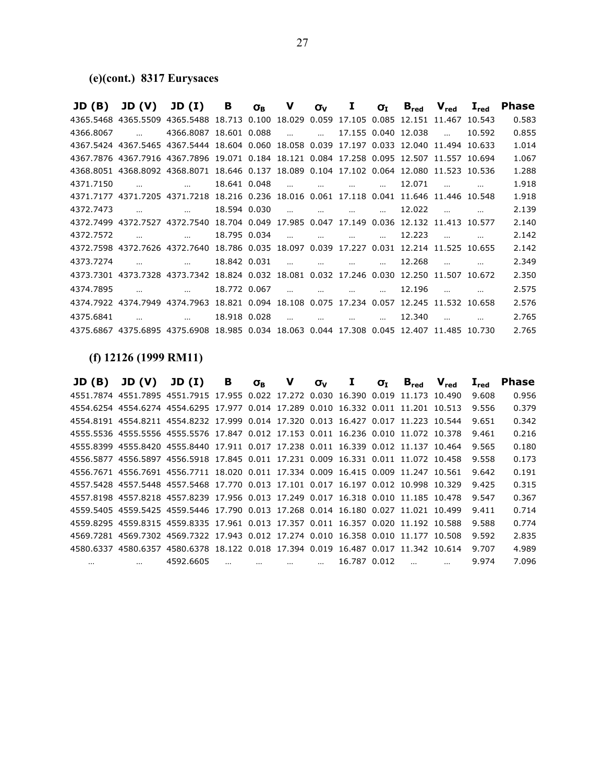### **(e)(cont.) 8317 Eurysaces**

| JD (B)    | JD (V)                                     | JD(I) B $\sigma_B$ V $\sigma_V$ I $\sigma_I$ B <sub>red</sub> V <sub>red</sub> I <sub>red</sub>                                                                                                                                     |              |                                  |  |        |                      |        | <b>Phase</b> |
|-----------|--------------------------------------------|-------------------------------------------------------------------------------------------------------------------------------------------------------------------------------------------------------------------------------------|--------------|----------------------------------|--|--------|----------------------|--------|--------------|
|           |                                            | 4365.5468 4365.5509 4365.5488 18.713 0.100 18.029 0.059 17.105 0.085 12.151 11.467 10.543                                                                                                                                           |              |                                  |  |        |                      |        | 0.583        |
| 4366.8067 |                                            | 4366.8087 18.601 0.088   17.155 0.040 12.038                                                                                                                                                                                        |              |                                  |  |        |                      | 10.592 | 0.855        |
|           |                                            | 4367.5424 4367.5465 4367.5444 18.604 0.060 18.058 0.039 17.197 0.033 12.040 11.494 10.633                                                                                                                                           |              |                                  |  |        |                      |        | 1.014        |
|           |                                            | 4367.7876 4367.7916 4367.7896 19.071 0.184 18.121 0.084 17.258 0.095 12.507 11.557 10.694                                                                                                                                           |              |                                  |  |        |                      |        | 1.067        |
|           |                                            | 4368.8051 4368.8092 4368.8071 18.646 0.137 18.089 0.104 17.102 0.064 12.080 11.523 10.536                                                                                                                                           |              |                                  |  |        |                      |        | 1.288        |
| 4371.7150 |                                            |                                                                                                                                                                                                                                     |              | 18.641 0.048                     |  | 12.071 |                      |        | 1.918        |
|           |                                            | 4371.7177 4371.7205 4371.7218 18.216 0.236 18.016 0.061 17.118 0.041 11.646 11.446 10.548                                                                                                                                           |              |                                  |  |        |                      |        | 1.918        |
| 4372.7473 |                                            | $\ldots$ $\ldots$ $18.594$ 0.030                                                                                                                                                                                                    |              | المستحدث المساري المساري المساري |  | 12.022 |                      |        | 2.139        |
|           |                                            | 4372.7499 4372.7527 4372.7540 18.704 0.049 17.985 0.047 17.149 0.036 12.132 11.413 10.577                                                                                                                                           |              |                                  |  |        |                      |        | 2.140        |
| 4372.7572 |                                            | <u>and</u> the contract of the contract of the contract of the contract of the contract of the contract of the contract of the contract of the contract of the contract of the contract of the contract of the contract of the cont | 18.795 0.034 | المستحدث السائد المساحي السائد   |  | 12.223 |                      |        | 2.142        |
|           |                                            | 4372.7598 4372.7626 4372.7640 18.786 0.035 18.097 0.039 17.227 0.031 12.214 11.525 10.655                                                                                                                                           |              |                                  |  |        |                      |        | 2.142        |
| 4373.7274 |                                            | 18.842 0.031                                                                                                                                                                                                                        |              |                                  |  | 12.268 |                      |        | 2.349        |
|           |                                            | 4373.7301 4373.7328 4373.7342 18.824 0.032 18.081 0.032 17.246 0.030 12.250 11.507 10.672                                                                                                                                           |              |                                  |  |        |                      |        | 2.350        |
| 4374.7895 |                                            |                                                                                                                                                                                                                                     |              | 18.772 0.067                     |  | 12.196 |                      |        | 2.575        |
|           |                                            | 4374.7922 4374.7949 4374.7963 18.821 0.094 18.108 0.075 17.234 0.057 12.245 11.532 10.658                                                                                                                                           |              |                                  |  |        |                      |        | 2.576        |
| 4375.6841 | <b>Contract Contract Contract Contract</b> | 18.918 0.028                                                                                                                                                                                                                        |              |                                  |  | 12.340 | and the contract and |        | 2.765        |
|           |                                            | 4375.6867 4375.6895 4375.6908 18.985 0.034 18.063 0.044 17.308 0.045 12.407 11.485 10.730                                                                                                                                           |              |                                  |  |        |                      |        | 2.765        |

### **(f) 12126 (1999 RM11)**

**JD (B) JD (V) JD (I) B**  $\sigma_B$  **V**  $\sigma_V$  **I**  $\sigma_I$  **B**<sub>red</sub> **V**<sub>red</sub> **I**<sub>red</sub> **Phase** 4551.7874 4551.7895 4551.7915 17.955 0.022 17.272 0.030 16.390 0.019 11.173 10.490 9.608 0.956 4554.6254 4554.6274 4554.6295 17.977 0.014 17.289 0.010 16.332 0.011 11.201 10.513 9.556 0.379 4554.8191 4554.8211 4554.8232 17.999 0.014 17.320 0.013 16.427 0.017 11.223 10.544 9.651 0.342 4555.5536 4555.5556 4555.5576 17.847 0.012 17.153 0.011 16.236 0.010 11.072 10.378 9.461 0.216 4555.8399 4555.8420 4555.8440 17.911 0.017 17.238 0.011 16.339 0.012 11.137 10.464 9.565 0.180 4556.5877 4556.5897 4556.5918 17.845 0.011 17.231 0.009 16.331 0.011 11.072 10.458 9.558 0.173 4556.7671 4556.7691 4556.7711 18.020 0.011 17.334 0.009 16.415 0.009 11.247 10.561 9.642 0.191 4557.5428 4557.5448 4557.5468 17.770 0.013 17.101 0.017 16.197 0.012 10.998 10.329 9.425 0.315 4557.8198 4557.8218 4557.8239 17.956 0.013 17.249 0.017 16.318 0.010 11.185 10.478 9.547 0.367 4559.5405 4559.5425 4559.5446 17.790 0.013 17.268 0.014 16.180 0.027 11.021 10.499 9.411 0.714 4559.8295 4559.8315 4559.8335 17.961 0.013 17.357 0.011 16.357 0.020 11.192 10.588 9.588 0.774 4569.7281 4569.7302 4569.7322 17.943 0.012 17.274 0.010 16.358 0.010 11.177 10.508 9.592 2.835 4580.6337 4580.6357 4580.6378 18.122 0.018 17.394 0.019 16.487 0.017 11.342 10.614 9.707 4.989 … … 4592.6605 … … … … 16.787 0.012 … … 9.974 7.096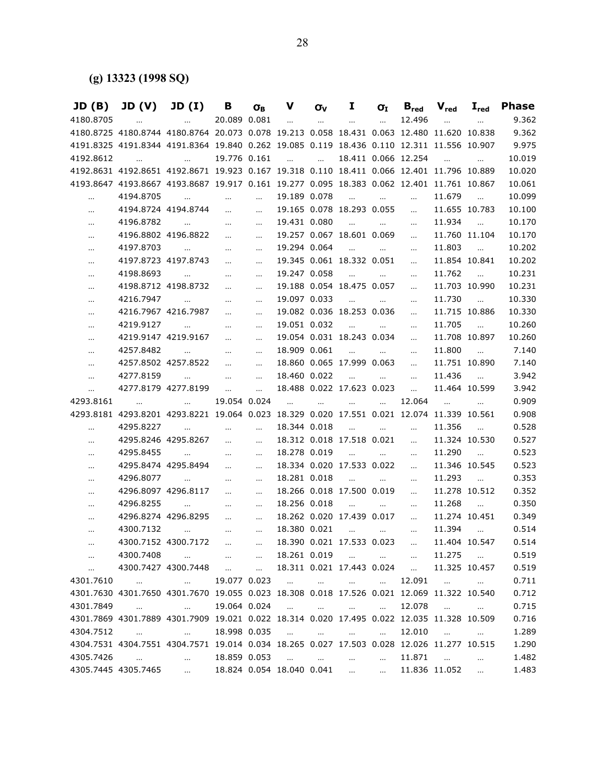# **(g) 13323 (1998 SQ)**

|                                             | JD (B) JD (V) JD (I) B $\sigma_B$ V $\sigma_V$ I $\sigma_I$ B <sub>red</sub> V <sub>red</sub> I <sub>red</sub> Phase |                                                                                                 |                                         |  |                              |  |                                    |               |                     |
|---------------------------------------------|----------------------------------------------------------------------------------------------------------------------|-------------------------------------------------------------------------------------------------|-----------------------------------------|--|------------------------------|--|------------------------------------|---------------|---------------------|
|                                             |                                                                                                                      | 4180.8705   20.089 0.081     12.496   9.362                                                     |                                         |  |                              |  |                                    |               |                     |
|                                             |                                                                                                                      | 4180.8725 4180.8744 4180.8764 20.073 0.078 19.213 0.058 18.431 0.063 12.480 11.620 10.838 9.362 |                                         |  |                              |  |                                    |               |                     |
|                                             |                                                                                                                      | 4191.8325 4191.8344 4191.8364 19.840 0.262 19.085 0.119 18.436 0.110 12.311 11.556 10.907 9.975 |                                         |  |                              |  |                                    |               |                     |
| 4192.8612                                   |                                                                                                                      | and the company of the company                                                                  |                                         |  |                              |  | 19.776 0.161   18.411 0.066 12.254 |               | 10.019              |
|                                             |                                                                                                                      | 4192.8631 4192.8651 4192.8671 19.923 0.167 19.318 0.110 18.411 0.066 12.401 11.796 10.889       |                                         |  |                              |  |                                    |               | 10.020              |
|                                             |                                                                                                                      | 4193.8647 4193.8667 4193.8687 19.917 0.161 19.277 0.095 18.383 0.062 12.401 11.761 10.867       |                                         |  |                              |  |                                    |               | 10.061              |
| and the state                               |                                                                                                                      | 4194.8705    19.189 0.078                                                                       |                                         |  |                              |  |                                    | 11.679        | 10.099              |
| and the state                               |                                                                                                                      | 4194.8724 4194.8744   19.165 0.078 18.293 0.055                                                 |                                         |  |                              |  | 11.655 10.783                      |               | 10.100              |
| $\Delta \mathbf{r}$ and $\Delta \mathbf{r}$ |                                                                                                                      | 4196.8782    19.431 0.080                                                                       |                                         |  |                              |  |                                    | 11.934        | 10.170              |
| $\ldots$                                    |                                                                                                                      | 4196.8802 4196.8822   19.257 0.067 18.601 0.069                                                 |                                         |  |                              |  |                                    | 11.760 11.104 | 10.170              |
| $\cdots$                                    |                                                                                                                      | 4197.8703                                                                                       |                                         |  | 19.294  0.064                |  |                                    | 11.803        | 10.202              |
| $\cdots$                                    |                                                                                                                      | 4197.8723 4197.8743                                                                             | المستحدث الساد                          |  | 19.345 0.061 18.332 0.051    |  | 11.854 10.841                      |               | 10.202              |
| $\cdots$                                    |                                                                                                                      | 4198.8693                                                                                       |                                         |  | 19.247 0.058                 |  |                                    | 11.762        | 10.231              |
| $\cdots$                                    |                                                                                                                      | 4198.8712 4198.8732                                                                             |                                         |  | 19.188 0.054 18.475 0.057    |  |                                    | 11.703 10.990 | 10.231              |
| $\cdots$                                    |                                                                                                                      | 4216.7947                                                                                       |                                         |  | 19.097 0.033                 |  |                                    | 11.730        | 10.330              |
| $\cdots$                                    |                                                                                                                      | 4216.7967 4216.7987                                                                             |                                         |  | 19.082 0.036 18.253 0.036    |  |                                    | 11.715 10.886 | 10.330              |
| $\cdots$                                    |                                                                                                                      | 4219.9127                                                                                       |                                         |  | 19.051 0.032                 |  |                                    | 11.705        | 10.260              |
| $\mathcal{L}_{\mathcal{F}}$ .               |                                                                                                                      | 4219.9147 4219.9167   19.054 0.031 18.243 0.034                                                 |                                         |  |                              |  | 11.708 10.897                      |               | 10.260              |
| $\cdots$                                    |                                                                                                                      | 4257.8482                                                                                       |                                         |  | 18.909 0.061                 |  |                                    |               | 11.800  7.140       |
| $\cdots$                                    |                                                                                                                      | 4257.8502 4257.8522                                                                             |                                         |  | 18.860 0.065 17.999 0.063    |  |                                    |               | 11.751 10.890 7.140 |
|                                             |                                                                                                                      | 4277.8159    18.460 0.022                                                                       |                                         |  |                              |  |                                    |               | 11.436  3.942       |
| and the con-                                |                                                                                                                      | 4277.8179 4277.8199   18.488 0.022 17.623 0.023  11.464 10.599 3.942                            |                                         |  |                              |  |                                    |               |                     |
|                                             |                                                                                                                      | 4293.8161   19.054 0.024     12.064   0.909                                                     |                                         |  |                              |  |                                    |               |                     |
|                                             |                                                                                                                      | 4293.8181 4293.8201 4293.8221 19.064 0.023 18.329 0.020 17.551 0.021 12.074 11.339 10.561       |                                         |  |                              |  |                                    |               | 0.908               |
| and the state                               |                                                                                                                      | 4295.8227    18.344 0.018                                                                       |                                         |  |                              |  | 11.356                             |               | 0.528               |
| $\cdots$                                    |                                                                                                                      | 4295.8246 4295.8267                                                                             |                                         |  | 18.312 0.018 17.518 0.021    |  | 11.324 10.530                      |               | 0.527               |
| $\cdots$                                    | 4295.8455                                                                                                            | 18.278 0.019                                                                                    |                                         |  |                              |  | 11.290                             |               | 0.523               |
| $\cdots$                                    |                                                                                                                      | 4295.8474 4295.8494                                                                             |                                         |  | 18.334  0.020  17.533  0.022 |  | 11.346 10.545                      |               | 0.523               |
| $\cdots$                                    |                                                                                                                      | 4296.8077                                                                                       |                                         |  | $18.281$ 0.018               |  |                                    | 11.293        | 0.353               |
| $\cdots$                                    |                                                                                                                      | 4296.8097 4296.8117                                                                             |                                         |  | 18.266 0.018 17.500 0.019    |  |                                    |               | 11.278 10.512 0.352 |
| $\sim$ .                                    |                                                                                                                      | 4296.8255                                                                                       |                                         |  | $18.256$ 0.018               |  | 11.268                             |               | 0.350               |
| $\cdots$                                    |                                                                                                                      | 4296.8274 4296.8295                                                                             | $\sim$ 100 $\sim$ 100 $\sim$ 100 $\sim$ |  | 18.262 0.020 17.439 0.017    |  | 11.274 10.451                      |               | 0.349               |
| $\cdots$                                    |                                                                                                                      | 4300.7132    18.380 0.021                                                                       |                                         |  |                              |  |                                    |               | 11.394  0.514       |
| <b>Contract Contract</b>                    |                                                                                                                      | 4300.7152 4300.7172   18.390 0.021 17.533 0.023  11.404 10.547                                  |                                         |  |                              |  |                                    |               | 0.514               |
|                                             |                                                                                                                      | 4300.7408    18.261 0.019    11.275                                                             |                                         |  |                              |  |                                    |               | 0.519               |
|                                             |                                                                                                                      | 4300.7427 4300.7448   18.311 0.021 17.443 0.024  11.325 10.457 0.519                            |                                         |  |                              |  |                                    |               |                     |
|                                             |                                                                                                                      | 4301.7610   19.077 0.023     12.091                                                             |                                         |  |                              |  |                                    |               | 0.711               |
|                                             |                                                                                                                      | 4301.7630 4301.7650 4301.7670 19.055 0.023 18.308 0.018 17.526 0.021 12.069 11.322 10.540       |                                         |  |                              |  |                                    |               | 0.712               |
|                                             |                                                                                                                      |                                                                                                 |                                         |  |                              |  |                                    |               | 0.715               |
|                                             |                                                                                                                      | 4301.7869 4301.7889 4301.7909 19.021 0.022 18.314 0.020 17.495 0.022 12.035 11.328 10.509       |                                         |  |                              |  |                                    |               | 0.716               |
|                                             |                                                                                                                      | 4304.7512   18.998 0.035                                                                        |                                         |  |                              |  | $12.010$                           |               | 1.289               |
|                                             |                                                                                                                      | 4304.7531 4304.7551 4304.7571 19.014 0.034 18.265 0.027 17.503 0.028 12.026 11.277 10.515       |                                         |  |                              |  |                                    |               | 1.290               |
|                                             |                                                                                                                      | 4305.7426   18.859 0.053     11.871                                                             |                                         |  |                              |  |                                    |               | 1.482               |
|                                             |                                                                                                                      | 4305.7445 4305.7465  18.824 0.054 18.040 0.041   11.836 11.052                                  |                                         |  |                              |  |                                    |               | 1.483               |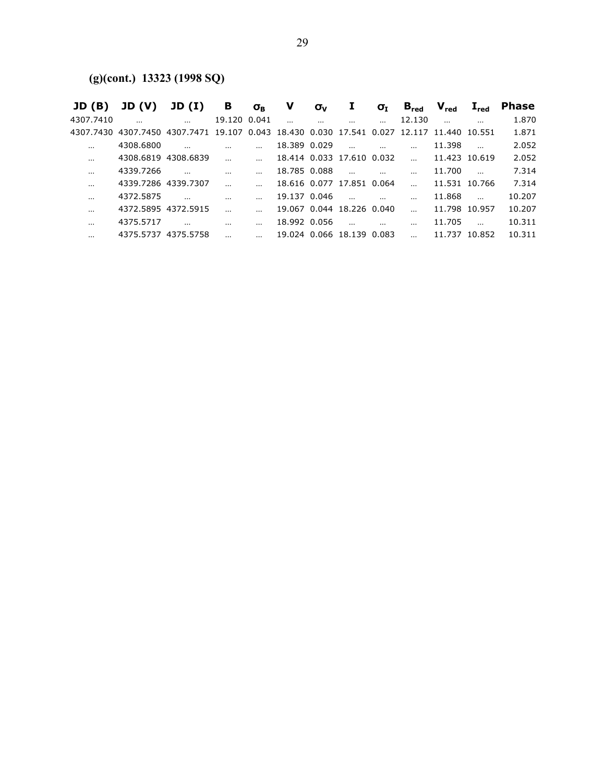# **(g)(cont.) 13323 (1998 SQ)**

| JD (B)                                                                      | JD (V)              | JD (I)   | В            | $\sigma_{\rm R}$ | v            | $\sigma_{v}$ | 1                         | $\sigma_{\rm r}$ | $B_{red}$ | $\mathsf{V_{red}}$ | $\mathbf{I}_{\mathsf{red}}$ | <b>Phase</b> |
|-----------------------------------------------------------------------------|---------------------|----------|--------------|------------------|--------------|--------------|---------------------------|------------------|-----------|--------------------|-----------------------------|--------------|
| 4307.7410                                                                   |                     |          | 19.120 0.041 |                  |              |              |                           |                  | 12.130    | $\cdots$           |                             | 1.870        |
| 4307.7430 4307.7450 4307.7471 19.107 0.043 18.430 0.030 17.541 0.027 12.117 |                     |          |              |                  |              |              |                           |                  |           | 11.440 10.551      |                             | 1.871        |
|                                                                             | 4308.6800           |          |              |                  | 18.389 0.029 |              | $\sim$ $\sim$             |                  |           | 11.398             |                             | 2.052        |
| $\cdots$                                                                    | 4308.6819 4308.6839 |          |              |                  |              |              | 18.414 0.033 17.610 0.032 |                  |           | 11.423 10.619      |                             | 2.052        |
| $\cdots$                                                                    | 4339.7266           | $\cdots$ | $\cdots$     |                  | 18.785 0.088 |              |                           |                  |           | 11.700             |                             | 7.314        |
| $\cdots$                                                                    | 4339.7286 4339.7307 |          | $\cdots$     |                  |              |              | 18.616 0.077 17.851 0.064 |                  |           | 11.531             | 10.766                      | 7.314        |
| $\cdots$                                                                    | 4372.5875           |          | $\cdots$     |                  | 19.137 0.046 |              |                           |                  |           | 11.868             |                             | 10.207       |
| $\cdots$                                                                    | 4372.5895 4372.5915 |          |              |                  | 19.067 0.044 |              | 18.226 0.040              |                  |           | 11.798 10.957      |                             | 10.207       |
| $\cdots$                                                                    | 4375.5717           | $\cdots$ | $\cdots$     |                  | 18.992 0.056 |              |                           |                  |           | 11.705             |                             | 10.311       |
| $\cdots$                                                                    | 4375.5737 4375.5758 |          |              |                  | 19.024 0.066 |              | 18.139                    | 0.083            |           | 11.737             | 10.852                      | 10.311       |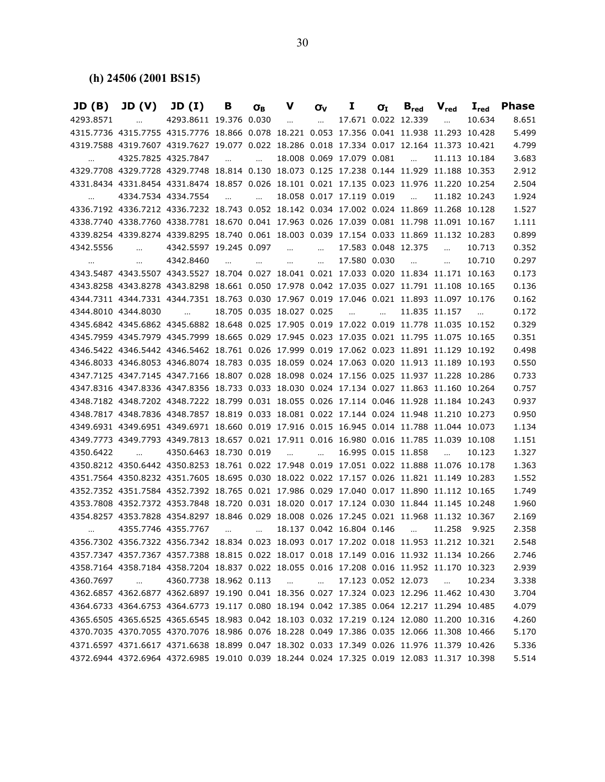# **(h) 24506 (2001 BS15)**

| JD (B)    | $JD(V)$ JD $(I)$                                          |                                                                                           | В | $\sigma_{\rm B}$ | V                                  | $\sigma_{\rm V}$ | I.                        | στ |                     | $B_{red}$ $V_{red}$                        | $\mathbf{I}_{\mathsf{red}}$ | <b>Phase</b> |
|-----------|-----------------------------------------------------------|-------------------------------------------------------------------------------------------|---|------------------|------------------------------------|------------------|---------------------------|----|---------------------|--------------------------------------------|-----------------------------|--------------|
| 4293.8571 | <b>Contractor</b>                                         | 4293.8611 19.376 0.030                                                                    |   |                  | <b>Contract</b>                    | <b>Contract</b>  |                           |    | 17.671 0.022 12.339 | <b>Contract Contract</b>                   | 10.634                      | 8.651        |
|           |                                                           | 4315.7736 4315.7755 4315.7776 18.866 0.078 18.221 0.053 17.356 0.041 11.938 11.293 10.428 |   |                  |                                    |                  |                           |    |                     |                                            |                             | 5.499        |
|           |                                                           | 4319.7588 4319.7607 4319.7627 19.077 0.022 18.286 0.018 17.334 0.017 12.164 11.373 10.421 |   |                  |                                    |                  |                           |    |                     |                                            |                             | 4.799        |
|           |                                                           | 4325.7825 4325.7847                                                                       |   |                  |                                    |                  | 18.008 0.069 17.079 0.081 |    |                     |                                            | 11.113 10.184               | 3.683        |
|           |                                                           | 4329.7708 4329.7728 4329.7748 18.814 0.130 18.073 0.125 17.238 0.144 11.929 11.188 10.353 |   |                  |                                    |                  |                           |    |                     |                                            |                             | 2.912        |
|           |                                                           | 4331.8434 4331.8454 4331.8474 18.857 0.026 18.101 0.021 17.135 0.023 11.976 11.220 10.254 |   |                  |                                    |                  |                           |    |                     |                                            |                             | 2.504        |
|           |                                                           | 4334.7534 4334.7554   18.058 0.017 17.119 0.019                                           |   |                  |                                    |                  |                           |    |                     | 11.182 10.243                              |                             | 1.924        |
|           |                                                           | 4336.7192 4336.7212 4336.7232 18.743 0.052 18.142 0.034 17.002 0.024 11.869 11.268 10.128 |   |                  |                                    |                  |                           |    |                     |                                            |                             | 1.527        |
|           |                                                           | 4338.7740 4338.7760 4338.7781 18.670 0.041 17.963 0.026 17.039 0.081 11.798 11.091 10.167 |   |                  |                                    |                  |                           |    |                     |                                            |                             | 1.111        |
|           |                                                           | 4339.8254 4339.8274 4339.8295 18.740 0.061 18.003 0.039 17.154 0.033 11.869 11.132 10.283 |   |                  |                                    |                  |                           |    |                     |                                            |                             | 0.899        |
| 4342.5556 | <b>Contract Contract</b>                                  | 4342.5597 19.245 0.097   17.583 0.048 12.375                                              |   |                  |                                    |                  |                           |    |                     | <b>Contract Contract</b>                   | 10.713                      | 0.352        |
|           | $\mathcal{L}_{\text{max}}$ and $\mathcal{L}_{\text{max}}$ | 4342.8460                                                                                 |   |                  | والمستحدث الساريات الساريات السارة |                  | 17.580 0.030              |    | <b>Common</b>       | $\mathbf{r}$ , $\mathbf{r}$ , $\mathbf{r}$ | 10.710                      | 0.297        |
|           |                                                           | 4343.5487 4343.5507 4343.5527 18.704 0.027 18.041 0.021 17.033 0.020 11.834 11.171 10.163 |   |                  |                                    |                  |                           |    |                     |                                            |                             | 0.173        |
|           |                                                           | 4343.8258 4343.8278 4343.8298 18.661 0.050 17.978 0.042 17.035 0.027 11.791 11.108 10.165 |   |                  |                                    |                  |                           |    |                     |                                            |                             | 0.136        |
|           |                                                           | 4344.7311 4344.7331 4344.7351 18.763 0.030 17.967 0.019 17.046 0.021 11.893 11.097 10.176 |   |                  |                                    |                  |                           |    |                     |                                            |                             | 0.162        |
|           | 4344.8010 4344.8030                                       | <b>Contract Contract</b>                                                                  |   |                  | 18.705 0.035 18.027 0.025          |                  |                           |    |                     | 11.835 11.157                              | <b>Contract Contract</b>    | 0.172        |
|           |                                                           | 4345.6842 4345.6862 4345.6882 18.648 0.025 17.905 0.019 17.022 0.019 11.778 11.035 10.152 |   |                  |                                    |                  |                           |    |                     |                                            |                             | 0.329        |
|           |                                                           | 4345.7959 4345.7979 4345.7999 18.665 0.029 17.945 0.023 17.035 0.021 11.795 11.075 10.165 |   |                  |                                    |                  |                           |    |                     |                                            |                             | 0.351        |
|           |                                                           | 4346.5422 4346.5442 4346.5462 18.761 0.026 17.999 0.019 17.062 0.023 11.891 11.129 10.192 |   |                  |                                    |                  |                           |    |                     |                                            |                             | 0.498        |
|           |                                                           | 4346.8033 4346.8053 4346.8074 18.783 0.035 18.059 0.024 17.063 0.020 11.913 11.189 10.193 |   |                  |                                    |                  |                           |    |                     |                                            |                             | 0.550        |
|           |                                                           | 4347.7125 4347.7145 4347.7166 18.807 0.028 18.098 0.024 17.156 0.025 11.937 11.228 10.286 |   |                  |                                    |                  |                           |    |                     |                                            |                             | 0.733        |
|           |                                                           | 4347.8316 4347.8336 4347.8356 18.733 0.033 18.030 0.024 17.134 0.027 11.863 11.160 10.264 |   |                  |                                    |                  |                           |    |                     |                                            |                             | 0.757        |
|           |                                                           | 4348.7182 4348.7202 4348.7222 18.799 0.031 18.055 0.026 17.114 0.046 11.928 11.184 10.243 |   |                  |                                    |                  |                           |    |                     |                                            |                             | 0.937        |
|           |                                                           | 4348.7817 4348.7836 4348.7857 18.819 0.033 18.081 0.022 17.144 0.024 11.948 11.210 10.273 |   |                  |                                    |                  |                           |    |                     |                                            |                             | 0.950        |
|           |                                                           | 4349.6931 4349.6951 4349.6971 18.660 0.019 17.916 0.015 16.945 0.014 11.788 11.044 10.073 |   |                  |                                    |                  |                           |    |                     |                                            |                             | 1.134        |
|           |                                                           | 4349.7773 4349.7793 4349.7813 18.657 0.021 17.911 0.016 16.980 0.016 11.785 11.039 10.108 |   |                  |                                    |                  |                           |    |                     |                                            |                             | 1.151        |
| 4350.6422 | $\sim$ $\sim$ $\sim$                                      | 4350.6463 18.730 0.019   16.995 0.015 11.858                                              |   |                  |                                    |                  |                           |    |                     | <b>Contract Contract</b>                   | 10.123                      | 1.327        |
|           |                                                           | 4350.8212 4350.6442 4350.8253 18.761 0.022 17.948 0.019 17.051 0.022 11.888 11.076 10.178 |   |                  |                                    |                  |                           |    |                     |                                            |                             | 1.363        |
|           |                                                           | 4351.7564 4350.8232 4351.7605 18.695 0.030 18.022 0.022 17.157 0.026 11.821 11.149 10.283 |   |                  |                                    |                  |                           |    |                     |                                            |                             | 1.552        |
|           |                                                           | 4352.7352 4351.7584 4352.7392 18.765 0.021 17.986 0.029 17.040 0.017 11.890 11.112 10.165 |   |                  |                                    |                  |                           |    |                     |                                            |                             | 1.749        |
|           |                                                           | 4353.7808 4352.7372 4353.7848 18.720 0.031 18.020 0.017 17.124 0.030 11.844 11.145 10.248 |   |                  |                                    |                  |                           |    |                     |                                            |                             | 1.960        |
|           |                                                           | 4354.8257 4353.7828 4354.8297 18.846 0.029 18.008 0.026 17.245 0.021 11.968 11.132 10.367 |   |                  |                                    |                  |                           |    |                     |                                            |                             | 2.169        |
|           |                                                           | 4355.7746 4355.7767   18.137 0.042 16.804 0.146                                           |   |                  |                                    |                  |                           |    |                     | 11.258 9.925                               |                             | 2.358        |
|           |                                                           | 4356.7302 4356.7322 4356.7342 18.834 0.023 18.093 0.017 17.202 0.018 11.953 11.212 10.321 |   |                  |                                    |                  |                           |    |                     |                                            |                             | 2.548        |
|           |                                                           | 4357.7347 4357.7367 4357.7388 18.815 0.022 18.017 0.018 17.149 0.016 11.932 11.134 10.266 |   |                  |                                    |                  |                           |    |                     |                                            |                             | 2.746        |
|           |                                                           | 4358.7164 4358.7184 4358.7204 18.837 0.022 18.055 0.016 17.208 0.016 11.952 11.170 10.323 |   |                  |                                    |                  |                           |    |                     |                                            |                             | 2.939        |
| 4360.7697 | <b>Contract Contract</b>                                  | 4360.7738 18.962 0.113                                                                    |   |                  |                                    |                  |                           |    | 17.123 0.052 12.073 | $\ddotsc$                                  | 10.234                      | 3.338        |
|           |                                                           | 4362.6857 4362.6877 4362.6897 19.190 0.041 18.356 0.027 17.324 0.023 12.296 11.462 10.430 |   |                  |                                    |                  |                           |    |                     |                                            |                             | 3.704        |
|           |                                                           | 4364.6733 4364.6753 4364.6773 19.117 0.080 18.194 0.042 17.385 0.064 12.217 11.294 10.485 |   |                  |                                    |                  |                           |    |                     |                                            |                             | 4.079        |
|           |                                                           | 4365.6505 4365.6525 4365.6545 18.983 0.042 18.103 0.032 17.219 0.124 12.080 11.200 10.316 |   |                  |                                    |                  |                           |    |                     |                                            |                             | 4.260        |
|           |                                                           | 4370.7035 4370.7055 4370.7076 18.986 0.076 18.228 0.049 17.386 0.035 12.066 11.308 10.466 |   |                  |                                    |                  |                           |    |                     |                                            |                             | 5.170        |
|           |                                                           | 4371.6597 4371.6617 4371.6638 18.899 0.047 18.302 0.033 17.349 0.026 11.976 11.379 10.426 |   |                  |                                    |                  |                           |    |                     |                                            |                             | 5.336        |
|           |                                                           | 4372.6944 4372.6964 4372.6985 19.010 0.039 18.244 0.024 17.325 0.019 12.083 11.317 10.398 |   |                  |                                    |                  |                           |    |                     |                                            |                             | 5.514        |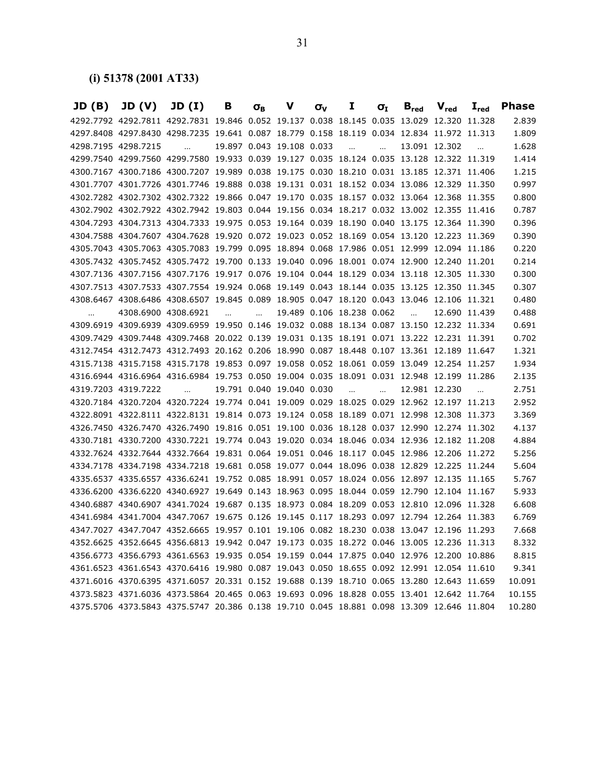# **(i) 51378 (2001 AT33)**

| JD (B) |                     | JD $(V)$ JD $(I)$                                                                         | B | $\sigma_{\rm B}$ | V I                          | $\sigma_{\rm v}$ | $\mathbf{I}$              | $\sigma_{\rm I}$ | $B_{red}$ $V_{red}$ | $\mathbf{I}_{\mathsf{red}}$ | <b>Phase</b> |
|--------|---------------------|-------------------------------------------------------------------------------------------|---|------------------|------------------------------|------------------|---------------------------|------------------|---------------------|-----------------------------|--------------|
|        |                     | 4292.7792 4292.7811 4292.7831 19.846 0.052 19.137 0.038 18.145 0.035 13.029 12.320 11.328 |   |                  |                              |                  |                           |                  |                     |                             | 2.839        |
|        |                     | 4297.8408 4297.8430 4298.7235 19.641 0.087 18.779 0.158 18.119 0.034 12.834 11.972 11.313 |   |                  |                              |                  |                           |                  |                     |                             | 1.809        |
|        | 4298.7195 4298.7215 | $\sim$ $\sim$                                                                             |   |                  | 19.897 0.043 19.108 0.033    |                  |                           |                  | 13.091 12.302       |                             | 1.628        |
|        |                     | 4299.7540 4299.7560 4299.7580 19.933 0.039 19.127 0.035 18.124 0.035 13.128 12.322 11.319 |   |                  |                              |                  |                           |                  |                     |                             | 1.414        |
|        |                     | 4300.7167 4300.7186 4300.7207 19.989 0.038 19.175 0.030 18.210 0.031 13.185 12.371 11.406 |   |                  |                              |                  |                           |                  |                     |                             | 1.215        |
|        |                     | 4301.7707 4301.7726 4301.7746 19.888 0.038 19.131 0.031 18.152 0.034 13.086 12.329 11.350 |   |                  |                              |                  |                           |                  |                     |                             | 0.997        |
|        |                     | 4302.7282 4302.7302 4302.7322 19.866 0.047 19.170 0.035 18.157 0.032 13.064 12.368 11.355 |   |                  |                              |                  |                           |                  |                     |                             | 0.800        |
|        |                     | 4302.7902 4302.7922 4302.7942 19.803 0.044 19.156 0.034 18.217 0.032 13.002 12.355 11.416 |   |                  |                              |                  |                           |                  |                     |                             | 0.787        |
|        |                     | 4304.7293 4304.7313 4304.7333 19.975 0.053 19.164 0.039 18.190 0.040 13.175 12.364 11.390 |   |                  |                              |                  |                           |                  |                     |                             | 0.396        |
|        |                     | 4304.7588 4304.7607 4304.7628 19.920 0.072 19.023 0.052 18.169 0.054 13.120 12.223 11.369 |   |                  |                              |                  |                           |                  |                     |                             | 0.390        |
|        |                     | 4305.7043 4305.7063 4305.7083 19.799 0.095 18.894 0.068 17.986 0.051 12.999 12.094 11.186 |   |                  |                              |                  |                           |                  |                     |                             | 0.220        |
|        |                     | 4305.7432 4305.7452 4305.7472 19.700 0.133 19.040 0.096 18.001 0.074 12.900 12.240 11.201 |   |                  |                              |                  |                           |                  |                     |                             | 0.214        |
|        |                     | 4307.7136 4307.7156 4307.7176 19.917 0.076 19.104 0.044 18.129 0.034 13.118 12.305 11.330 |   |                  |                              |                  |                           |                  |                     |                             | 0.300        |
|        |                     | 4307.7513 4307.7533 4307.7554 19.924 0.068 19.149 0.043 18.144 0.035 13.125 12.350 11.345 |   |                  |                              |                  |                           |                  |                     |                             | 0.307        |
|        |                     | 4308.6467 4308.6486 4308.6507 19.845 0.089 18.905 0.047 18.120 0.043 13.046 12.106 11.321 |   |                  |                              |                  |                           |                  |                     |                             | 0.480        |
|        |                     | 4308.6900 4308.6921                                                                       |   |                  |                              |                  | 19.489 0.106 18.238 0.062 |                  |                     | 12.690 11.439               | 0.488        |
|        |                     | 4309.6919 4309.6939 4309.6959 19.950 0.146 19.032 0.088 18.134 0.087 13.150 12.232 11.334 |   |                  |                              |                  |                           |                  |                     |                             | 0.691        |
|        |                     | 4309.7429 4309.7448 4309.7468 20.022 0.139 19.031 0.135 18.191 0.071 13.222 12.231 11.391 |   |                  |                              |                  |                           |                  |                     |                             | 0.702        |
|        |                     | 4312.7454 4312.7473 4312.7493 20.162 0.206 18.990 0.087 18.448 0.107 13.361 12.189 11.647 |   |                  |                              |                  |                           |                  |                     |                             | 1.321        |
|        |                     | 4315.7138 4315.7158 4315.7178 19.853 0.097 19.058 0.052 18.061 0.059 13.049 12.254 11.257 |   |                  |                              |                  |                           |                  |                     |                             | 1.934        |
|        |                     | 4316.6944 4316.6964 4316.6984 19.753 0.050 19.004 0.035 18.091 0.031 12.948 12.199 11.286 |   |                  |                              |                  |                           |                  |                     |                             | 2.135        |
|        | 4319.7203 4319.7222 |                                                                                           |   |                  | 19.791  0.040  19.040  0.030 |                  |                           |                  | 12.981 12.230       | $\cdots$                    | 2.751        |
|        |                     | 4320.7184 4320.7204 4320.7224 19.774 0.041 19.009 0.029 18.025 0.029 12.962 12.197 11.213 |   |                  |                              |                  |                           |                  |                     |                             | 2.952        |
|        |                     | 4322.8091 4322.8111 4322.8131 19.814 0.073 19.124 0.058 18.189 0.071 12.998 12.308 11.373 |   |                  |                              |                  |                           |                  |                     |                             | 3.369        |
|        |                     | 4326.7450 4326.7470 4326.7490 19.816 0.051 19.100 0.036 18.128 0.037 12.990 12.274 11.302 |   |                  |                              |                  |                           |                  |                     |                             | 4.137        |
|        |                     | 4330.7181 4330.7200 4330.7221 19.774 0.043 19.020 0.034 18.046 0.034 12.936 12.182 11.208 |   |                  |                              |                  |                           |                  |                     |                             | 4.884        |
|        |                     | 4332.7624 4332.7644 4332.7664 19.831 0.064 19.051 0.046 18.117 0.045 12.986 12.206 11.272 |   |                  |                              |                  |                           |                  |                     |                             | 5.256        |
|        |                     | 4334.7178 4334.7198 4334.7218 19.681 0.058 19.077 0.044 18.096 0.038 12.829 12.225 11.244 |   |                  |                              |                  |                           |                  |                     |                             | 5.604        |
|        |                     | 4335.6537 4335.6557 4336.6241 19.752 0.085 18.991 0.057 18.024 0.056 12.897 12.135 11.165 |   |                  |                              |                  |                           |                  |                     |                             | 5.767        |
|        |                     | 4336.6200 4336.6220 4340.6927 19.649 0.143 18.963 0.095 18.044 0.059 12.790 12.104 11.167 |   |                  |                              |                  |                           |                  |                     |                             | 5.933        |
|        |                     | 4340.6887 4340.6907 4341.7024 19.687 0.135 18.973 0.084 18.209 0.053 12.810 12.096 11.328 |   |                  |                              |                  |                           |                  |                     |                             | 6.608        |
|        |                     | 4341.6984 4341.7004 4347.7067 19.675 0.126 19.145 0.117 18.293 0.097 12.794 12.264 11.383 |   |                  |                              |                  |                           |                  |                     |                             | 6.769        |
|        |                     | 4347.7027 4347.7047 4352.6665 19.957 0.101 19.106 0.082 18.230 0.038 13.047 12.196 11.293 |   |                  |                              |                  |                           |                  |                     |                             | 7.668        |
|        |                     | 4352.6625 4352.6645 4356.6813 19.942 0.047 19.173 0.035 18.272 0.046 13.005 12.236 11.313 |   |                  |                              |                  |                           |                  |                     |                             | 8.332        |
|        |                     | 4356.6773 4356.6793 4361.6563 19.935 0.054 19.159 0.044 17.875 0.040 12.976 12.200 10.886 |   |                  |                              |                  |                           |                  |                     |                             | 8.815        |
|        |                     | 4361.6523 4361.6543 4370.6416 19.980 0.087 19.043 0.050 18.655 0.092 12.991 12.054 11.610 |   |                  |                              |                  |                           |                  |                     |                             | 9.341        |
|        |                     | 4371.6016 4370.6395 4371.6057 20.331 0.152 19.688 0.139 18.710 0.065 13.280 12.643 11.659 |   |                  |                              |                  |                           |                  |                     |                             | 10.091       |
|        |                     | 4373.5823 4371.6036 4373.5864 20.465 0.063 19.693 0.096 18.828 0.055 13.401 12.642 11.764 |   |                  |                              |                  |                           |                  |                     |                             | 10.155       |
|        |                     | 4375.5706 4373.5843 4375.5747 20.386 0.138 19.710 0.045 18.881 0.098 13.309 12.646 11.804 |   |                  |                              |                  |                           |                  |                     |                             | 10.280       |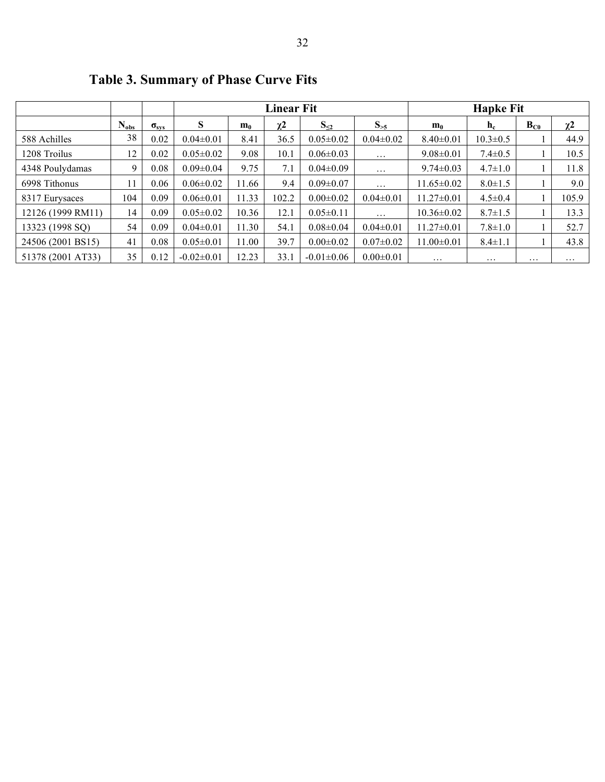|                   |           |                    |                  |                | <b>Linear Fit</b> |                  |                 | <b>Hapke Fit</b> |                |          |          |  |  |
|-------------------|-----------|--------------------|------------------|----------------|-------------------|------------------|-----------------|------------------|----------------|----------|----------|--|--|
|                   | $N_{obs}$ | $\sigma_{\rm sys}$ | S                | $\mathbf{m}_0$ | $\chi^2$          | $S_{\leq 2}$     | $S_{\geq 5}$    | $\mathbf{m}_0$   | $h_c$          | $B_{C0}$ | $\chi^2$ |  |  |
| 588 Achilles      | 38        | 0.02               | $0.04 \pm 0.01$  | 8.41           | 36.5              | $0.05 \pm 0.02$  | $0.04 \pm 0.02$ | $8.40 \pm 0.01$  | $10.3 \pm 0.5$ |          | 44.9     |  |  |
| 1208 Troilus      | 12        | 0.02               | $0.05 \pm 0.02$  | 9.08           | 10.1              | $0.06 \pm 0.03$  | $\cdots$        | $9.08 \pm 0.01$  | $7.4 \pm 0.5$  |          | 10.5     |  |  |
| 4348 Poulydamas   | 9         | 0.08               | $0.09 \pm 0.04$  | 9.75           | 7.1               | $0.04 \pm 0.09$  | $\cdots$        | $9.74 \pm 0.03$  | $4.7 \pm 1.0$  |          | 11.8     |  |  |
| 6998 Tithonus     | 11        | 0.06               | $0.06 \pm 0.02$  | 11.66          | 9.4               | $0.09 \pm 0.07$  | $\cdots$        | $11.65 \pm 0.02$ | $8.0 \pm 1.5$  |          | 9.0      |  |  |
| 8317 Eurysaces    | 104       | 0.09               | $0.06 \pm 0.01$  | 11.33          | 102.2             | $0.00 \pm 0.02$  | $0.04 \pm 0.01$ | $11.27 \pm 0.01$ | $4.5 \pm 0.4$  |          | 105.9    |  |  |
| 12126 (1999 RM11) | 14        | 0.09               | $0.05 \pm 0.02$  | 10.36          | 12.1              | $0.05 \pm 0.11$  | $\cdots$        | $10.36 \pm 0.02$ | $8.7 \pm 1.5$  |          | 13.3     |  |  |
| 13323 (1998 SQ)   | 54        | 0.09               | $0.04 \pm 0.01$  | 11.30          | 54.1              | $0.08 \pm 0.04$  | $0.04 \pm 0.01$ | $11.27 \pm 0.01$ | $7.8 \pm 1.0$  |          | 52.7     |  |  |
| 24506 (2001 BS15) | 41        | 0.08               | $0.05 \pm 0.01$  | 11.00          | 39.7              | $0.00 \pm 0.02$  | $0.07 \pm 0.02$ | $11.00 \pm 0.01$ | $8.4 \pm 1.1$  |          | 43.8     |  |  |
| 51378 (2001 AT33) | 35        | 0.12               | $-0.02 \pm 0.01$ | 12.23          | 33.1              | $-0.01 \pm 0.06$ | $0.00 \pm 0.01$ | $\cdots$         | $\cdots$       | $\cdots$ | $\cdots$ |  |  |

**Table 3. Summary of Phase Curve Fits**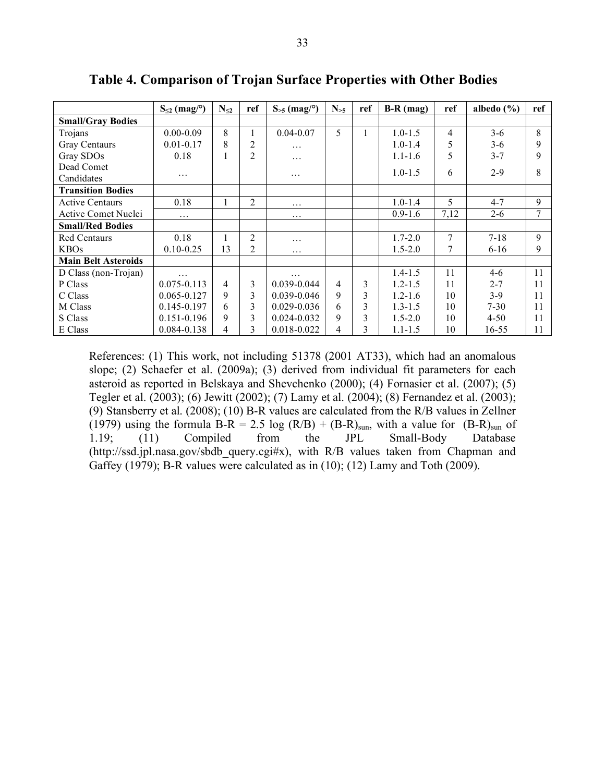|                            | $S_{<2}$ (mag/°) | $N_{\leq 2}$ | ref | $S_{>5}$ (mag/°) | $N_{>5}$ | ref | $B-R$ (mag) | ref            | albedo $(\% )$ | ref |
|----------------------------|------------------|--------------|-----|------------------|----------|-----|-------------|----------------|----------------|-----|
| <b>Small/Gray Bodies</b>   |                  |              |     |                  |          |     |             |                |                |     |
| Trojans                    | $0.00 - 0.09$    | 8            |     | $0.04 - 0.07$    | 5        |     | $1.0 - 1.5$ | $\overline{4}$ | $3 - 6$        | 8   |
| Gray Centaurs              | $0.01 - 0.17$    | 8            | 2   | .                |          |     | $1.0 - 1.4$ | 5              | $3-6$          | 9   |
| Gray SDOs                  | 0.18             |              | 2   | .                |          |     | $1.1 - 1.6$ | 5              | $3 - 7$        | 9   |
| Dead Comet                 |                  |              |     |                  |          |     | $1.0 - 1.5$ | 6              | $2 - 9$        | 8   |
| Candidates                 | .                |              |     | .                |          |     |             |                |                |     |
| <b>Transition Bodies</b>   |                  |              |     |                  |          |     |             |                |                |     |
| <b>Active Centaurs</b>     | 0.18             |              | 2   | $\cdots$         |          |     | $1.0 - 1.4$ | 5              | $4 - 7$        | 9   |
| Active Comet Nuclei        | $\cdots$         |              |     | $\cdots$         |          |     | $0.9 - 1.6$ | 7,12           | $2 - 6$        | 7   |
| <b>Small/Red Bodies</b>    |                  |              |     |                  |          |     |             |                |                |     |
| <b>Red Centaurs</b>        | 0.18             |              | 2   | $\cdots$         |          |     | $1.7 - 2.0$ | 7              | $7 - 18$       | 9   |
| <b>KBOs</b>                | $0.10 - 0.25$    | 13           | 2   | $\cdots$         |          |     | $1.5 - 2.0$ | 7              | $6 - 16$       | 9   |
| <b>Main Belt Asteroids</b> |                  |              |     |                  |          |     |             |                |                |     |
| D Class (non-Trojan)       | .                |              |     | .                |          |     | $1.4 - 1.5$ | 11             | $4-6$          | 11  |
| P Class                    | $0.075 - 0.113$  | 4            | 3   | 0.039-0.044      | 4        | 3   | $1.2 - 1.5$ | 11             | $2 - 7$        | 11  |
| C Class                    | $0.065 - 0.127$  | 9            | 3   | 0.039-0.046      | 9        | 3   | $1.2 - 1.6$ | 10             | $3-9$          | 11  |
| M Class                    | 0.145-0.197      | 6            | 3   | $0.029 - 0.036$  | 6        | 3   | $1.3 - 1.5$ | 10             | $7 - 30$       | 11  |
| S Class                    | 0.151-0.196      | 9            | 3   | $0.024 - 0.032$  | 9        | 3   | $1.5 - 2.0$ | 10             | $4 - 50$       | 11  |
| E Class                    | 0.084-0.138      | 4            | 3   | 0.018-0.022      | 4        | 3   | $1.1 - 1.5$ | 10             | 16-55          | 11  |

**Table 4. Comparison of Trojan Surface Properties with Other Bodies**

References: (1) This work, not including 51378 (2001 AT33), which had an anomalous slope; (2) Schaefer et al. (2009a); (3) derived from individual fit parameters for each asteroid as reported in Belskaya and Shevchenko (2000); (4) Fornasier et al. (2007); (5) Tegler et al. (2003); (6) Jewitt (2002); (7) Lamy et al. (2004); (8) Fernandez et al. (2003); (9) Stansberry et al. (2008); (10) B-R values are calculated from the R/B values in Zellner (1979) using the formula B-R = 2.5 log  $(R/B) + (B-R)_{sun}$ , with a value for  $(B-R)_{sun}$  of 1.19; (11) Compiled from the JPL Small-Body Database (http://ssd.jpl.nasa.gov/sbdb query.cgi#x), with R/B values taken from Chapman and Gaffey (1979); B-R values were calculated as in (10); (12) Lamy and Toth (2009).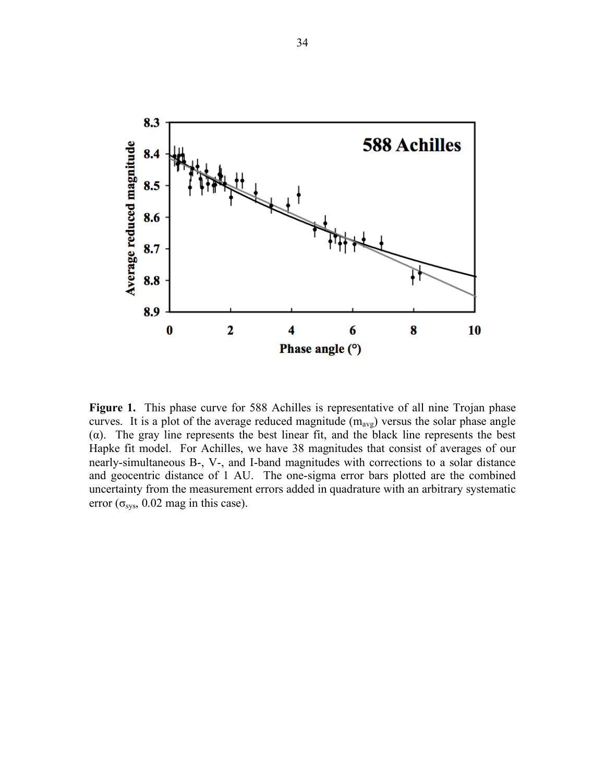

**Figure 1.** This phase curve for 588 Achilles is representative of all nine Trojan phase curves. It is a plot of the average reduced magnitude  $(m_{avg})$  versus the solar phase angle (α). The gray line represents the best linear fit, and the black line represents the best Hapke fit model. For Achilles, we have 38 magnitudes that consist of averages of our nearly-simultaneous B-, V-, and I-band magnitudes with corrections to a solar distance and geocentric distance of 1 AU. The one-sigma error bars plotted are the combined uncertainty from the measurement errors added in quadrature with an arbitrary systematic error ( $\sigma_{sys}$ , 0.02 mag in this case).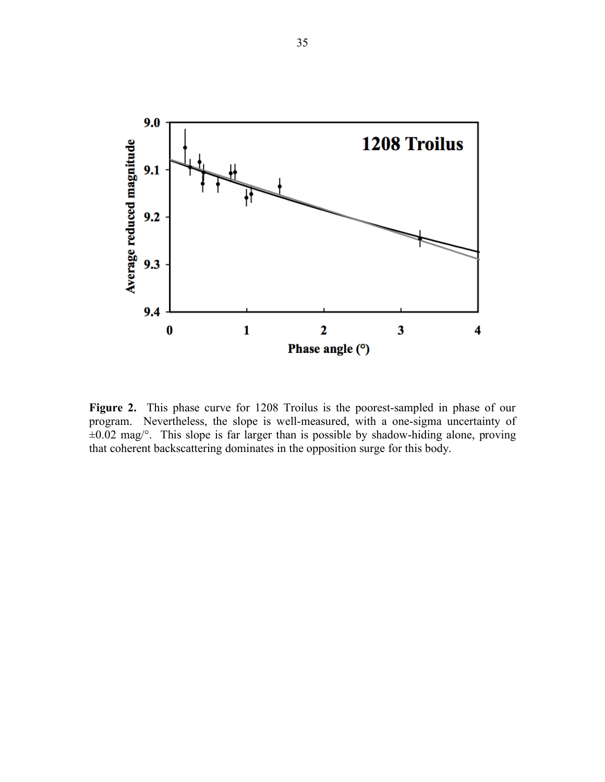

**Figure 2.** This phase curve for 1208 Troilus is the poorest-sampled in phase of our program. Nevertheless, the slope is well-measured, with a one-sigma uncertainty of  $\pm 0.02$  mag/°. This slope is far larger than is possible by shadow-hiding alone, proving that coherent backscattering dominates in the opposition surge for this body.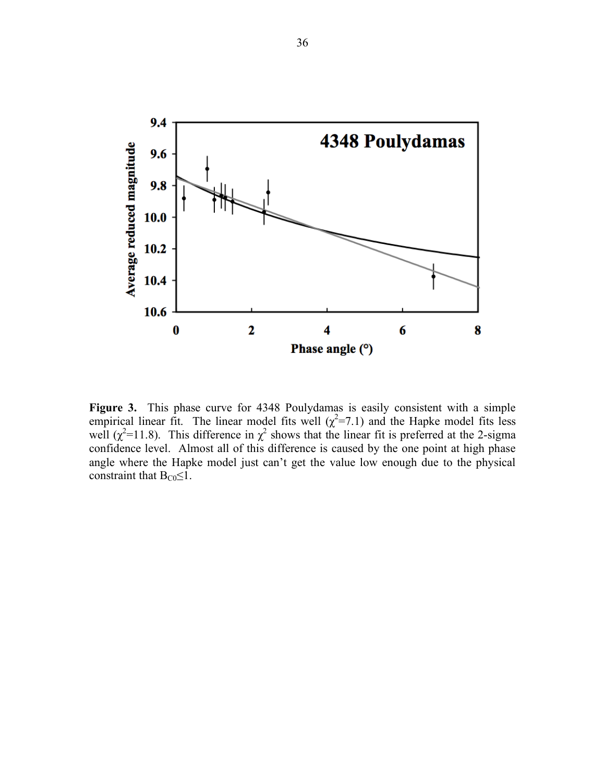

**Figure 3.** This phase curve for 4348 Poulydamas is easily consistent with a simple empirical linear fit. The linear model fits well  $(\chi^2=7.1)$  and the Hapke model fits less well ( $\chi^2$ =11.8). This difference in  $\chi^2$  shows that the linear fit is preferred at the 2-sigma confidence level. Almost all of this difference is caused by the one point at high phase angle where the Hapke model just can't get the value low enough due to the physical constraint that  $B_{C0} \leq 1$ .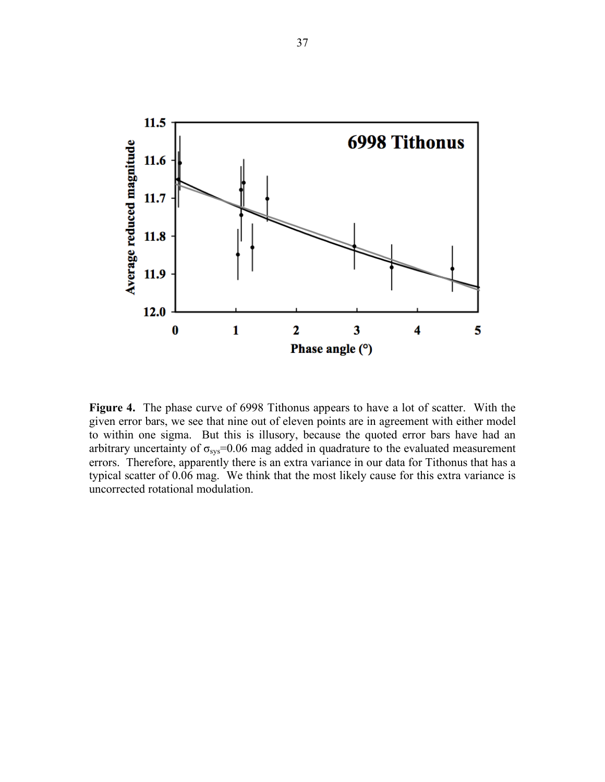

**Figure 4.** The phase curve of 6998 Tithonus appears to have a lot of scatter. With the given error bars, we see that nine out of eleven points are in agreement with either model to within one sigma. But this is illusory, because the quoted error bars have had an arbitrary uncertainty of  $\sigma_{sys}$ =0.06 mag added in quadrature to the evaluated measurement errors. Therefore, apparently there is an extra variance in our data for Tithonus that has a typical scatter of 0.06 mag. We think that the most likely cause for this extra variance is uncorrected rotational modulation.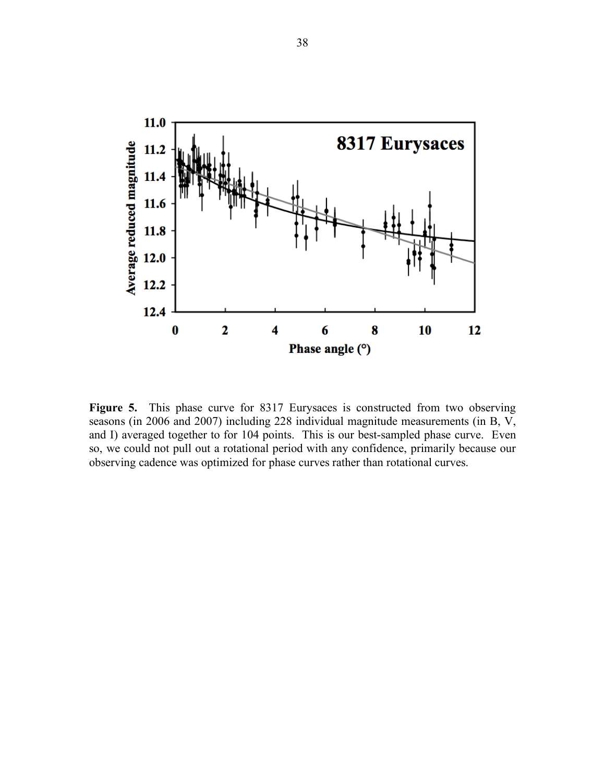

Figure 5. This phase curve for 8317 Eurysaces is constructed from two observing seasons (in 2006 and 2007) including 228 individual magnitude measurements (in B, V, and I) averaged together to for 104 points. This is our best-sampled phase curve. Even so, we could not pull out a rotational period with any confidence, primarily because our observing cadence was optimized for phase curves rather than rotational curves.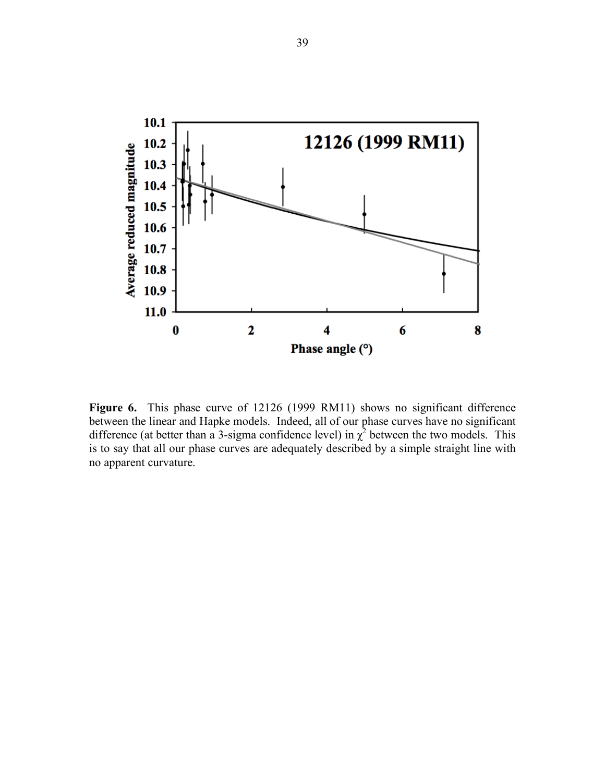

Figure 6. This phase curve of 12126 (1999 RM11) shows no significant difference between the linear and Hapke models. Indeed, all of our phase curves have no significant difference (at better than a 3-sigma confidence level) in  $\chi^2$  between the two models. This is to say that all our phase curves are adequately described by a simple straight line with no apparent curvature.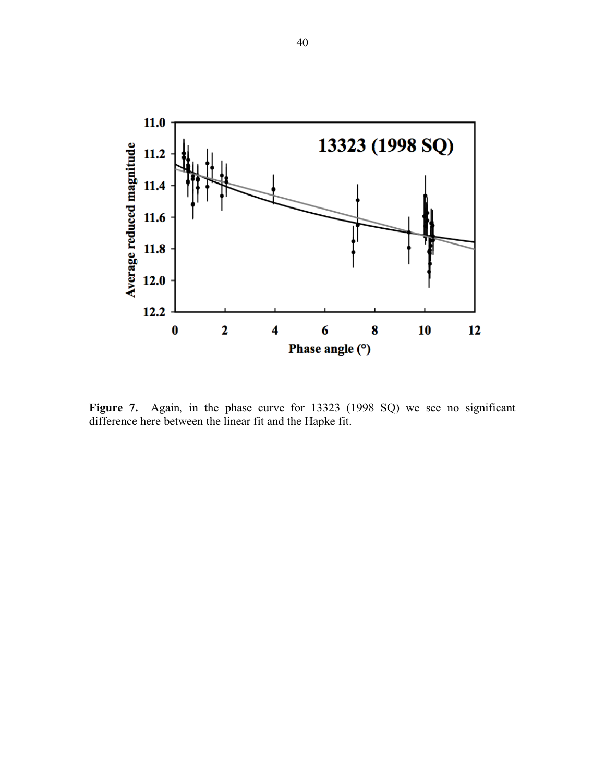

**Figure 7.** Again, in the phase curve for 13323 (1998 SQ) we see no significant difference here between the linear fit and the Hapke fit.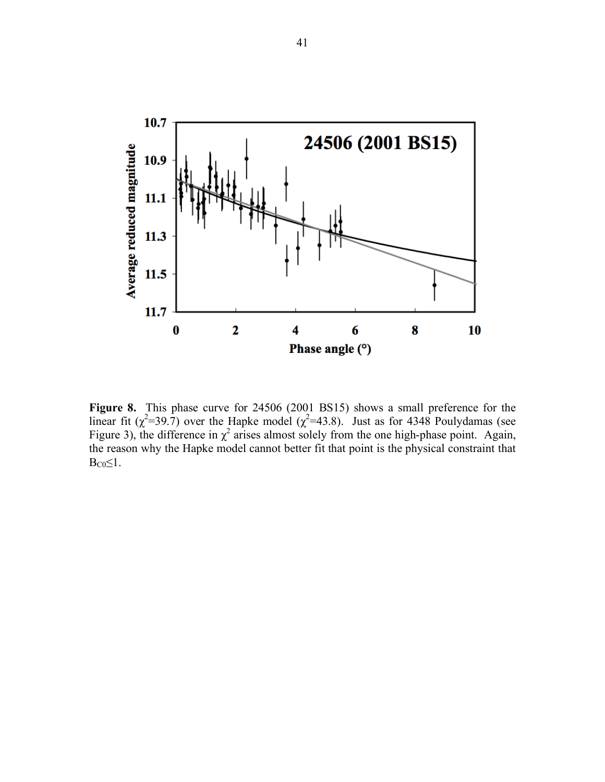

**Figure 8.** This phase curve for 24506 (2001 BS15) shows a small preference for the linear fit ( $\chi^2$ =39.7) over the Hapke model ( $\chi^2$ =43.8). Just as for 4348 Poulydamas (see Figure 3), the difference in  $\chi^2$  arises almost solely from the one high-phase point. Again, the reason why the Hapke model cannot better fit that point is the physical constraint that  $B_{C0} \leq 1$ .